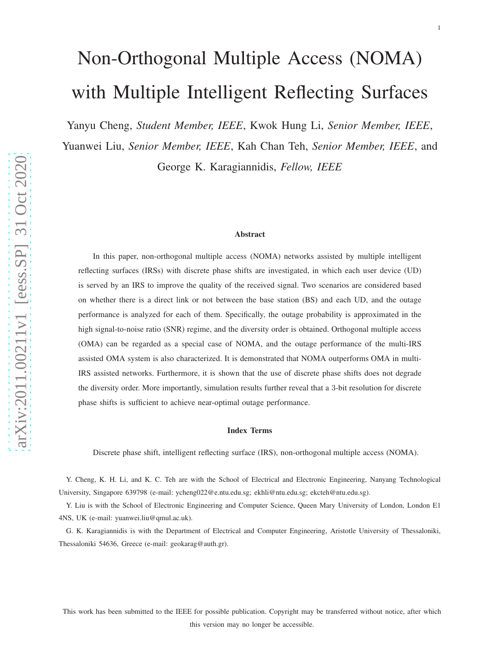# Non-Orthogonal Multiple Access (NOMA) with Multiple Intelligent Reflecting Surfaces

Yanyu Cheng, *Student Member, IEEE*, Kwok Hung Li, *Senior Member, IEEE* ,

Yuanwei Liu, *Senior Member, IEEE*, Kah Chan Teh, *Senior Member, IEEE*, and George K. Karagiannidis, *Fellow, IEEE*

Abstract

In this paper, non-orthogonal multiple access (NOMA) networks assisted by multiple intelligent reflecting surfaces (IRSs) with discrete phase shifts are investigated, in which each user device (UD) is served by an IRS to improve the quality of the received signal. Two scenarios are considered based on whether there is a direct link or not between the base station (BS) and each UD, and the outage performance is analyzed for each of them. Specifically, the outage probability is approximated in the high signal-to-noise ratio (SNR) regime, and the diversity order is obtained. Orthogonal multiple access (OMA) can be regarded as a special case of NOMA, and the outage performance of the multi-IRS assisted OMA system is also characterized. It is demonstrated that NOMA outperforms OMA in multi-IRS assisted networks. Furthermore, it is shown that the use of discrete phase shifts does not degrade the diversity order. More importantly, simulation results further reveal that a 3-bit resolution for discrete phase shifts is sufficient to achieve near-optimal outage performance.

#### Index Terms

Discrete phase shift, intelligent reflecting surface (IRS), non-orthogonal multiple access (NOMA).

Y. Cheng, K. H. Li, and K. C. Teh are with the School of Electrical and Electronic Engineering, Nanyang Technological University, Singapore 639798 (e-mail: ycheng022@e.ntu.edu.sg; ekhli@ntu.edu.sg; ekcteh@ntu.edu.sg).

Y. Liu is with the School of Electronic Engineering and Computer Science, Queen Mary University of London, London E1 4NS, UK (e-mail: yuanwei.liu@qmul.ac.uk).

G. K. Karagiannidis is with the Department of Electrical and Computer Engineering, Aristotle University of Thessaloniki, Thessaloniki 54636, Greece (e-mail: geokarag@auth.gr).

This work has been submitted to the IEEE for possible publication. Copyright may be transferred without notice, after which this version may no longer be accessible.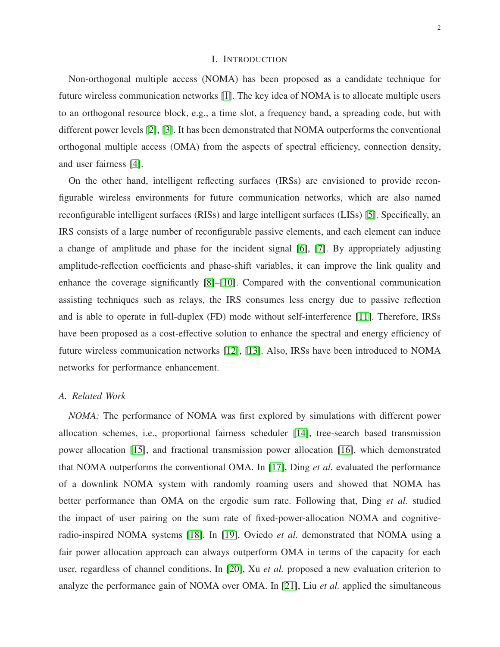# I. INTRODUCTION

Non-orthogonal multiple access (NOMA) has been proposed as a candidate technique for future wireless communication networks [\[1\]](#page-26-0). The key idea of NOMA is to allocate multiple users to an orthogonal resource block, e.g., a time slot, a frequency band, a spreading code, but with different power levels [\[2\]](#page-26-1), [\[3\]](#page-26-2). It has been demonstrated that NOMA outperforms the conventional orthogonal multiple access (OMA) from the aspects of spectral efficiency, connection density, and user fairness [\[4\]](#page-26-3).

On the other hand, intelligent reflecting surfaces (IRSs) are envisioned to provide reconfigurable wireless environments for future communication networks, which are also named reconfigurable intelligent surfaces (RISs) and large intelligent surfaces (LISs) [\[5\]](#page-26-4). Specifically, an IRS consists of a large number of reconfigurable passive elements, and each element can induce a change of amplitude and phase for the incident signal [\[6\]](#page-26-5), [\[7\]](#page-27-0). By appropriately adjusting amplitude-reflection coefficients and phase-shift variables, it can improve the link quality and enhance the coverage significantly [\[8\]](#page-27-1)–[\[10\]](#page-27-2). Compared with the conventional communication assisting techniques such as relays, the IRS consumes less energy due to passive reflection and is able to operate in full-duplex (FD) mode without self-interference [\[11\]](#page-27-3). Therefore, IRSs have been proposed as a cost-effective solution to enhance the spectral and energy efficiency of future wireless communication networks [\[12\]](#page-27-4), [\[13\]](#page-27-5). Also, IRSs have been introduced to NOMA networks for performance enhancement.

# *A. Related Work*

*NOMA:* The performance of NOMA was first explored by simulations with different power allocation schemes, i.e., proportional fairness scheduler [\[14\]](#page-27-6), tree-search based transmission power allocation [\[15\]](#page-27-7), and fractional transmission power allocation [\[16\]](#page-27-8), which demonstrated that NOMA outperforms the conventional OMA. In [\[17\]](#page-27-9), Ding *et al.* evaluated the performance of a downlink NOMA system with randomly roaming users and showed that NOMA has better performance than OMA on the ergodic sum rate. Following that, Ding *et al.* studied the impact of user pairing on the sum rate of fixed-power-allocation NOMA and cognitiveradio-inspired NOMA systems [\[18\]](#page-27-10). In [\[19\]](#page-27-11), Oviedo *et al.* demonstrated that NOMA using a fair power allocation approach can always outperform OMA in terms of the capacity for each user, regardless of channel conditions. In [\[20\]](#page-27-12), Xu *et al.* proposed a new evaluation criterion to analyze the performance gain of NOMA over OMA. In [\[21\]](#page-27-13), Liu *et al.* applied the simultaneous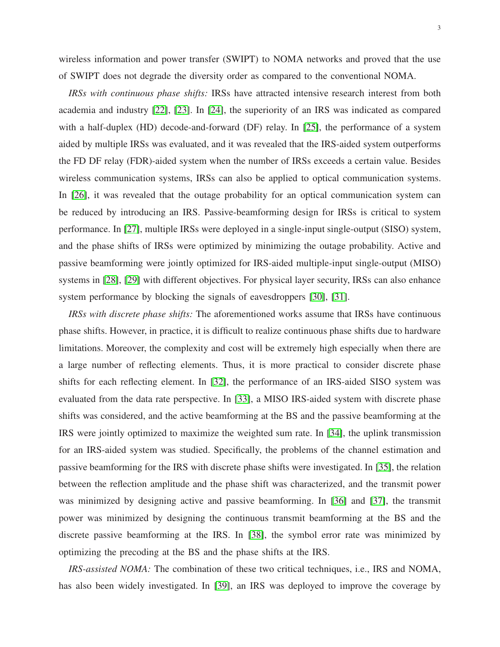wireless information and power transfer (SWIPT) to NOMA networks and proved that the use of SWIPT does not degrade the diversity order as compared to the conventional NOMA.

*IRSs with continuous phase shifts:* IRSs have attracted intensive research interest from both academia and industry [\[22\]](#page-27-14), [\[23\]](#page-27-15). In [\[24\]](#page-27-16), the superiority of an IRS was indicated as compared with a half-duplex (HD) decode-and-forward (DF) relay. In [\[25\]](#page-27-17), the performance of a system aided by multiple IRSs was evaluated, and it was revealed that the IRS-aided system outperforms the FD DF relay (FDR)-aided system when the number of IRSs exceeds a certain value. Besides wireless communication systems, IRSs can also be applied to optical communication systems. In [\[26\]](#page-27-18), it was revealed that the outage probability for an optical communication system can be reduced by introducing an IRS. Passive-beamforming design for IRSs is critical to system performance. In [\[27\]](#page-28-0), multiple IRSs were deployed in a single-input single-output (SISO) system, and the phase shifts of IRSs were optimized by minimizing the outage probability. Active and passive beamforming were jointly optimized for IRS-aided multiple-input single-output (MISO) systems in [\[28\]](#page-28-1), [\[29\]](#page-28-2) with different objectives. For physical layer security, IRSs can also enhance system performance by blocking the signals of eavesdroppers [\[30\]](#page-28-3), [\[31\]](#page-28-4).

*IRSs with discrete phase shifts:* The aforementioned works assume that IRSs have continuous phase shifts. However, in practice, it is difficult to realize continuous phase shifts due to hardware limitations. Moreover, the complexity and cost will be extremely high especially when there are a large number of reflecting elements. Thus, it is more practical to consider discrete phase shifts for each reflecting element. In [\[32\]](#page-28-5), the performance of an IRS-aided SISO system was evaluated from the data rate perspective. In [\[33\]](#page-28-6), a MISO IRS-aided system with discrete phase shifts was considered, and the active beamforming at the BS and the passive beamforming at the IRS were jointly optimized to maximize the weighted sum rate. In [\[34\]](#page-28-7), the uplink transmission for an IRS-aided system was studied. Specifically, the problems of the channel estimation and passive beamforming for the IRS with discrete phase shifts were investigated. In [\[35\]](#page-28-8), the relation between the reflection amplitude and the phase shift was characterized, and the transmit power was minimized by designing active and passive beamforming. In [\[36\]](#page-28-9) and [\[37\]](#page-28-10), the transmit power was minimized by designing the continuous transmit beamforming at the BS and the discrete passive beamforming at the IRS. In [\[38\]](#page-28-11), the symbol error rate was minimized by optimizing the precoding at the BS and the phase shifts at the IRS.

*IRS-assisted NOMA:* The combination of these two critical techniques, i.e., IRS and NOMA, has also been widely investigated. In [\[39\]](#page-28-12), an IRS was deployed to improve the coverage by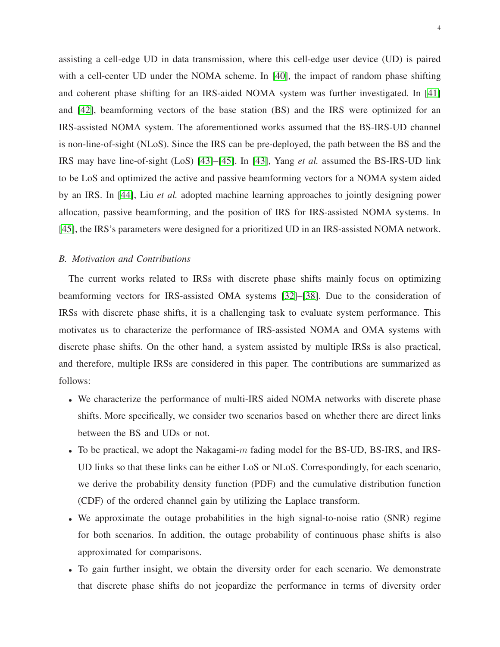assisting a cell-edge UD in data transmission, where this cell-edge user device (UD) is paired with a cell-center UD under the NOMA scheme. In [\[40\]](#page-28-13), the impact of random phase shifting and coherent phase shifting for an IRS-aided NOMA system was further investigated. In [\[41\]](#page-28-14) and [\[42\]](#page-28-15), beamforming vectors of the base station (BS) and the IRS were optimized for an IRS-assisted NOMA system. The aforementioned works assumed that the BS-IRS-UD channel is non-line-of-sight (NLoS). Since the IRS can be pre-deployed, the path between the BS and the IRS may have line-of-sight (LoS) [\[43\]](#page-28-16)–[\[45\]](#page-28-17). In [\[43\]](#page-28-16), Yang *et al.* assumed the BS-IRS-UD link to be LoS and optimized the active and passive beamforming vectors for a NOMA system aided by an IRS. In [\[44\]](#page-28-18), Liu *et al.* adopted machine learning approaches to jointly designing power allocation, passive beamforming, and the position of IRS for IRS-assisted NOMA systems. In [\[45\]](#page-28-17), the IRS's parameters were designed for a prioritized UD in an IRS-assisted NOMA network.

#### *B. Motivation and Contributions*

The current works related to IRSs with discrete phase shifts mainly focus on optimizing beamforming vectors for IRS-assisted OMA systems [\[32\]](#page-28-5)–[\[38\]](#page-28-11). Due to the consideration of IRSs with discrete phase shifts, it is a challenging task to evaluate system performance. This motivates us to characterize the performance of IRS-assisted NOMA and OMA systems with discrete phase shifts. On the other hand, a system assisted by multiple IRSs is also practical, and therefore, multiple IRSs are considered in this paper. The contributions are summarized as follows:

- We characterize the performance of multi-IRS aided NOMA networks with discrete phase shifts. More specifically, we consider two scenarios based on whether there are direct links between the BS and UDs or not.
- To be practical, we adopt the Nakagami-m fading model for the BS-UD, BS-IRS, and IRS-UD links so that these links can be either LoS or NLoS. Correspondingly, for each scenario, we derive the probability density function (PDF) and the cumulative distribution function (CDF) of the ordered channel gain by utilizing the Laplace transform.
- We approximate the outage probabilities in the high signal-to-noise ratio (SNR) regime for both scenarios. In addition, the outage probability of continuous phase shifts is also approximated for comparisons.
- To gain further insight, we obtain the diversity order for each scenario. We demonstrate that discrete phase shifts do not jeopardize the performance in terms of diversity order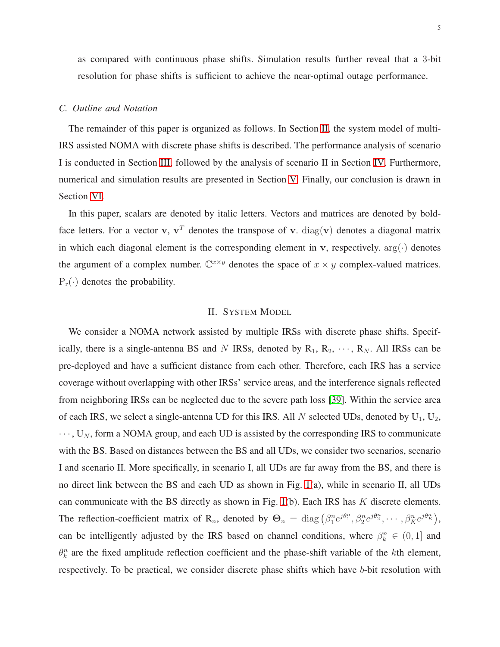as compared with continuous phase shifts. Simulation results further reveal that a 3-bit resolution for phase shifts is sufficient to achieve the near-optimal outage performance.

# *C. Outline and Notation*

The remainder of this paper is organized as follows. In Section [II,](#page-4-0) the system model of multi-IRS assisted NOMA with discrete phase shifts is described. The performance analysis of scenario I is conducted in Section [III,](#page-7-0) followed by the analysis of scenario II in Section [IV.](#page-12-0) Furthermore, numerical and simulation results are presented in Section [V.](#page-18-0) Finally, our conclusion is drawn in Section [VI.](#page-22-0)

In this paper, scalars are denoted by italic letters. Vectors and matrices are denoted by boldface letters. For a vector v,  $v^T$  denotes the transpose of v.  $diag(v)$  denotes a diagonal matrix in which each diagonal element is the corresponding element in v, respectively.  $arg(\cdot)$  denotes the argument of a complex number.  $\mathbb{C}^{x \times y}$  denotes the space of  $x \times y$  complex-valued matrices.  $P_r(\cdot)$  denotes the probability.

# II. SYSTEM MODEL

<span id="page-4-0"></span>We consider a NOMA network assisted by multiple IRSs with discrete phase shifts. Specifically, there is a single-antenna BS and N IRSs, denoted by  $R_1, R_2, \dots, R_N$ . All IRSs can be pre-deployed and have a sufficient distance from each other. Therefore, each IRS has a service coverage without overlapping with other IRSs' service areas, and the interference signals reflected from neighboring IRSs can be neglected due to the severe path loss [\[39\]](#page-28-12). Within the service area of each IRS, we select a single-antenna UD for this IRS. All  $N$  selected UDs, denoted by  $U_1, U_2$ ,  $\cdots$ , U<sub>N</sub>, form a NOMA group, and each UD is assisted by the corresponding IRS to communicate with the BS. Based on distances between the BS and all UDs, we consider two scenarios, scenario I and scenario II. More specifically, in scenario I, all UDs are far away from the BS, and there is no direct link between the BS and each UD as shown in Fig. [1\(](#page-5-0)a), while in scenario II, all UDs can communicate with the BS directly as shown in Fig.  $1(b)$ . Each IRS has K discrete elements. The reflection-coefficient matrix of R<sub>n</sub>, denoted by  $\Theta_n = \text{diag} \left( \beta_1^n e^{j\theta_1^n}, \beta_2^n e^{j\theta_2^n}, \cdots, \beta_K^n e^{j\theta_K^n} \right)$ , can be intelligently adjusted by the IRS based on channel conditions, where  $\beta_k^n \in (0,1]$  and  $\theta_k^n$  are the fixed amplitude reflection coefficient and the phase-shift variable of the kth element, respectively. To be practical, we consider discrete phase shifts which have b-bit resolution with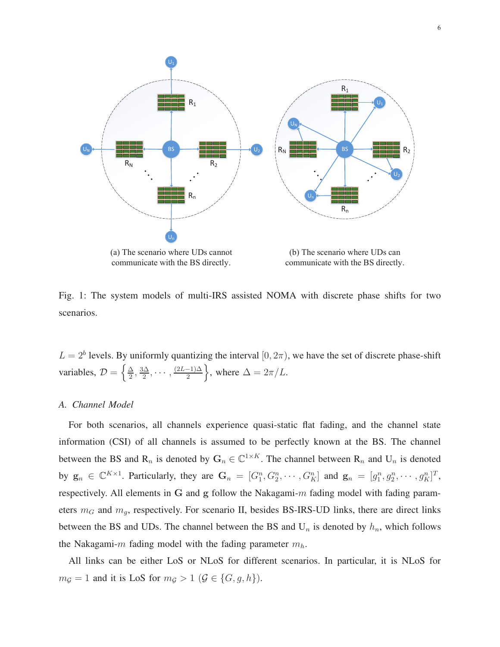<span id="page-5-0"></span>

(a) The scenario where UDs cannot communicate with the BS directly.

(b) The scenario where UDs can communicate with the BS directly.

Fig. 1: The system models of multi-IRS assisted NOMA with discrete phase shifts for two scenarios.

 $L = 2<sup>b</sup>$  levels. By uniformly quantizing the interval  $[0, 2\pi)$ , we have the set of discrete phase-shift variables,  $\mathcal{D} = \left\{ \frac{\Delta}{2} \right\}$  $\frac{\Delta}{2}$ ,  $\frac{3\Delta}{2}$  $\frac{\sqrt{\Delta}}{2}, \cdots, \frac{(2L-1)\Delta}{2}$ , where  $\Delta = 2\pi/L$ .

#### *A. Channel Model*

For both scenarios, all channels experience quasi-static flat fading, and the channel state information (CSI) of all channels is assumed to be perfectly known at the BS. The channel between the BS and  $R_n$  is denoted by  $G_n \in \mathbb{C}^{1 \times K}$ . The channel between  $R_n$  and  $U_n$  is denoted by  $g_n \in \mathbb{C}^{K \times 1}$ . Particularly, they are  $G_n = [G_1^n, G_2^n, \cdots, G_K^n]$  and  $g_n = [g_1^n, g_2^n, \cdots, g_K^n]^T$ , respectively. All elements in G and g follow the Nakagami- $m$  fading model with fading parameters  $m<sub>G</sub>$  and  $m<sub>g</sub>$ , respectively. For scenario II, besides BS-IRS-UD links, there are direct links between the BS and UDs. The channel between the BS and  $U_n$  is denoted by  $h_n$ , which follows the Nakagami-m fading model with the fading parameter  $m_h$ .

All links can be either LoS or NLoS for different scenarios. In particular, it is NLoS for  $m<sub>G</sub> = 1$  and it is LoS for  $m<sub>G</sub> > 1$  ( $\mathcal{G} \in \{G, g, h\}$ ).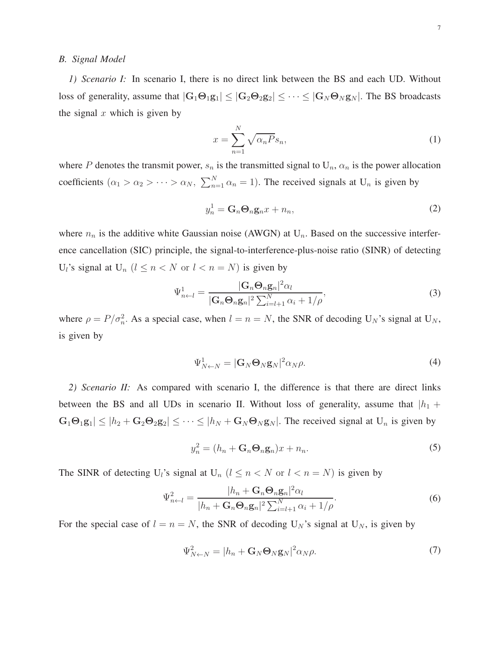# *B. Signal Model*

*1) Scenario I:* In scenario I, there is no direct link between the BS and each UD. Without loss of generality, assume that  $|G_1 \Theta_1 g_1| \leq |G_2 \Theta_2 g_2| \leq \cdots \leq |G_N \Theta_N g_N|$ . The BS broadcasts the signal  $x$  which is given by

$$
x = \sum_{n=1}^{N} \sqrt{\alpha_n P} s_n,
$$
\n(1)

where P denotes the transmit power,  $s_n$  is the transmitted signal to  $U_n$ ,  $\alpha_n$  is the power allocation coefficients  $(\alpha_1 > \alpha_2 > \cdots > \alpha_N, \sum_{n=1}^N \alpha_n = 1)$ . The received signals at  $U_n$  is given by

$$
y_n^1 = \mathbf{G}_n \mathbf{\Theta}_n \mathbf{g}_n x + n_n,\tag{2}
$$

where  $n_n$  is the additive white Gaussian noise (AWGN) at  $U_n$ . Based on the successive interference cancellation (SIC) principle, the signal-to-interference-plus-noise ratio (SINR) of detecting  $U_l$ 's signal at  $U_n$   $(l \leq n < N$  or  $l < n = N)$  is given by

$$
\Psi_{n\leftarrow l}^{1} = \frac{|\mathbf{G}_n \mathbf{\Theta}_n \mathbf{g}_n|^2 \alpha_l}{|\mathbf{G}_n \mathbf{\Theta}_n \mathbf{g}_n|^2 \sum_{i=l+1}^{N} \alpha_i + 1/\rho},
$$
\n(3)

where  $\rho = P/\sigma_n^2$ . As a special case, when  $l = n = N$ , the SNR of decoding  $U_N$ 's signal at  $U_N$ , is given by

$$
\Psi_{N\leftarrow N}^1 = |\mathbf{G}_N \mathbf{\Theta}_N \mathbf{g}_N|^2 \alpha_N \rho. \tag{4}
$$

*2) Scenario II:* As compared with scenario I, the difference is that there are direct links between the BS and all UDs in scenario II. Without loss of generality, assume that  $|h_1 +$  $|\mathbf{G}_1\mathbf{\Theta}_1\mathbf{g}_1| \leq |h_2 + \mathbf{G}_2\mathbf{\Theta}_2\mathbf{g}_2| \leq \cdots \leq |h_N + \mathbf{G}_N\mathbf{\Theta}_N\mathbf{g}_N|$ . The received signal at  $U_n$  is given by

$$
y_n^2 = (h_n + \mathbf{G}_n \mathbf{\Theta}_n \mathbf{g}_n) x + n_n. \tag{5}
$$

The SINR of detecting U<sub>l</sub>'s signal at U<sub>n</sub>  $(l \le n < N$  or  $l < n = N)$  is given by

$$
\Psi_{n\leftarrow l}^{2} = \frac{|h_{n} + \mathbf{G}_{n}\mathbf{\Theta}_{n}\mathbf{g}_{n}|^{2}\alpha_{l}}{|h_{n} + \mathbf{G}_{n}\mathbf{\Theta}_{n}\mathbf{g}_{n}|^{2}\sum_{i=l+1}^{N}\alpha_{i} + 1/\rho}.
$$
\n(6)

For the special case of  $l = n = N$ , the SNR of decoding  $U_N$ 's signal at  $U_N$ , is given by

$$
\Psi_{N\leftarrow N}^2 = |h_n + \mathbf{G}_N \mathbf{\Theta}_N \mathbf{g}_N|^2 \alpha_N \rho. \tag{7}
$$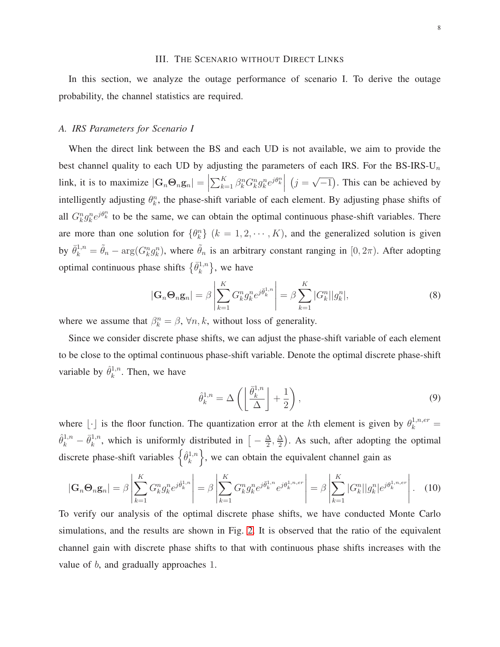# III. THE SCENARIO WITHOUT DIRECT LINKS

<span id="page-7-0"></span>In this section, we analyze the outage performance of scenario I. To derive the outage probability, the channel statistics are required.

#### *A. IRS Parameters for Scenario I*

When the direct link between the BS and each UD is not available, we aim to provide the best channel quality to each UD by adjusting the parameters of each IRS. For the BS-IRS-U<sub>n</sub> link, it is to maximize  $|\mathbf{G}_n \mathbf{\Theta}_n \mathbf{g}_n| =$  $\sum_{k=1}^K \beta_k^n G_k^n g_k^n e^{j\theta_k^n}$  $(j = \sqrt{-1})$ . This can be achieved by intelligently adjusting  $\theta_k^n$ , the phase-shift variable of each element. By adjusting phase shifts of all  $G_k^n g_k^n e^{j\theta_k^n}$  to be the same, we can obtain the optimal continuous phase-shift variables. There are more than one solution for  $\{\theta_k^n\}$   $(k = 1, 2, \dots, K)$ , and the generalized solution is given by  $\bar{\theta}_k^{1,n} = \tilde{\theta}_n - \arg(G_k^n g_k^n)$ , where  $\tilde{\theta}_n$  is an arbitrary constant ranging in  $[0, 2\pi)$ . After adopting optimal continuous phase shifts  $\{\bar{\theta}_k^{1,n}\}$  $\{k^{1,n}\}\$ , we have

$$
|\mathbf{G}_n\mathbf{\Theta}_n\mathbf{g}_n| = \beta \left| \sum_{k=1}^K G_k^n g_k^n e^{j\bar{\theta}_k^{1,n}} \right| = \beta \sum_{k=1}^K |G_k^n| |g_k^n|,\tag{8}
$$

where we assume that  $\beta_k^n = \beta$ ,  $\forall n, k$ , without loss of generality.

Since we consider discrete phase shifts, we can adjust the phase-shift variable of each element to be close to the optimal continuous phase-shift variable. Denote the optimal discrete phase-shift variable by  $\hat{\theta}_k^{1,n}$  $k^{1,n}$ . Then, we have

$$
\hat{\theta}_k^{1,n} = \Delta \left( \left\lfloor \frac{\bar{\theta}_k^{1,n}}{\Delta} \right\rfloor + \frac{1}{2} \right),\tag{9}
$$

where  $\lfloor \cdot \rfloor$  is the floor function. The quantization error at the kth element is given by  $\theta_k^{1,n,er}$  =  $\hat{\theta}_k^{1,n} - \bar{\theta}_k^{1,n}$  $\frac{1}{k}$ , which is uniformly distributed in  $\left[-\frac{\Delta}{2}\right]$  $\frac{\Delta}{2}$ ,  $\frac{\Delta}{2}$  $\frac{\Delta}{2}$ ). As such, after adopting the optimal discrete phase-shift variables  $\left\{\hat{\theta}_k^{1,n}\right\}$  $\binom{1,n}{k}$ , we can obtain the equivalent channel gain as

$$
|\mathbf{G}_n \mathbf{\Theta}_n \mathbf{g}_n| = \beta \left| \sum_{k=1}^K G_k^n g_k^n e^{j \hat{\theta}_k^{1,n}} \right| = \beta \left| \sum_{k=1}^K G_k^n g_k^n e^{j \bar{\theta}_k^{1,n}} e^{j \theta_k^{1,n,er}} \right| = \beta \left| \sum_{k=1}^K |G_k^n| |g_k^n| e^{j \theta_k^{1,n,er}} \right|.
$$
 (10)

To verify our analysis of the optimal discrete phase shifts, we have conducted Monte Carlo simulations, and the results are shown in Fig. [2.](#page-8-0) It is observed that the ratio of the equivalent channel gain with discrete phase shifts to that with continuous phase shifts increases with the value of b, and gradually approaches 1.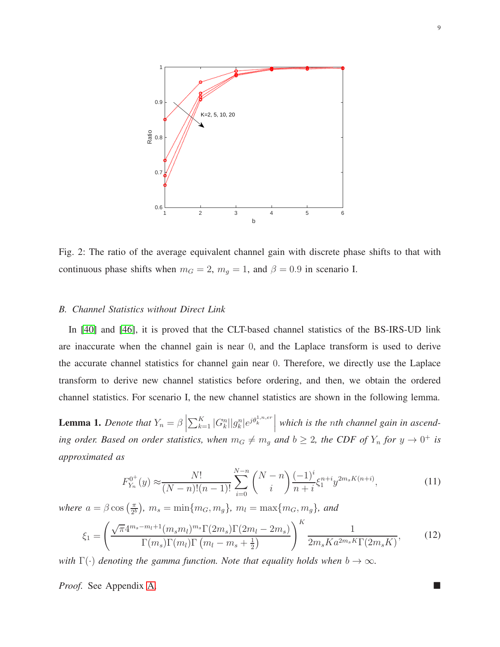<span id="page-8-0"></span>

Fig. 2: The ratio of the average equivalent channel gain with discrete phase shifts to that with continuous phase shifts when  $m_G = 2$ ,  $m_g = 1$ , and  $\beta = 0.9$  in scenario I.

# *B. Channel Statistics without Direct Link*

In [\[40\]](#page-28-13) and [\[46\]](#page-29-0), it is proved that the CLT-based channel statistics of the BS-IRS-UD link are inaccurate when the channel gain is near 0, and the Laplace transform is used to derive the accurate channel statistics for channel gain near 0. Therefore, we directly use the Laplace transform to derive new channel statistics before ordering, and then, we obtain the ordered channel statistics. For scenario I, the new channel statistics are shown in the following lemma.

<span id="page-8-1"></span>**Lemma 1.** *Denote that*  $Y_n = \beta$  $\sum_{k=1}^{K} |G_k^n| |g_k^n| e^{j \theta_k^{1,n,er}}$ *which is the* n*th channel gain in ascending order. Based on order statistics, when*  $m_G \neq m_g$  *and*  $b \geq 2$ *, the CDF of*  $Y_n$  *for*  $y \to 0^+$  *is approximated as*

$$
F_{Y_n}^{0^+}(y) \approx \frac{N!}{(N-n)!(n-1)!} \sum_{i=0}^{N-n} \binom{N-n}{i} \frac{(-1)^i}{n+i} \xi_1^{n+i} y^{2m_s K(n+i)},\tag{11}
$$

*where*  $a = \beta \cos \left( \frac{\pi}{2l} \right)$  $\left(\frac{\pi}{2^b}\right)$ *,*  $m_s = \min\{m_G, m_g\}$ *,*  $m_l = \max\{m_G, m_g\}$ *, and* 

$$
\xi_1 = \left(\frac{\sqrt{\pi}4^{m_s - m_l + 1}(m_s m_l)^{m_s} \Gamma(2m_s) \Gamma(2m_l - 2m_s)}{\Gamma(m_s) \Gamma(m_l) \Gamma(m_l - m_s + \frac{1}{2})}\right)^K \frac{1}{2m_s K a^{2m_s K} \Gamma(2m_s K)},
$$
(12)

*with*  $\Gamma(\cdot)$  *denoting the gamma function. Note that equality holds when*  $b \to \infty$ *.* 

*Proof.* See Appendix [A.](#page-23-0)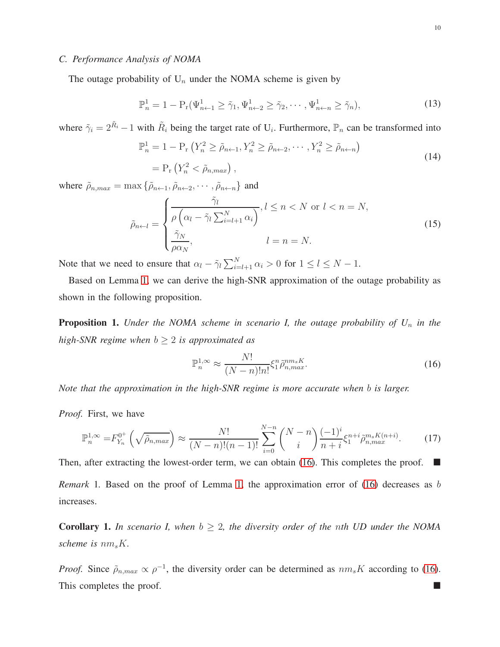The outage probability of  $U_n$  under the NOMA scheme is given by

$$
\mathbb{P}_n^1 = 1 - \mathbb{P}_r(\Psi_{n+1}^1 \ge \tilde{\gamma}_1, \Psi_{n+2}^1 \ge \tilde{\gamma}_2, \cdots, \Psi_{n+n}^1 \ge \tilde{\gamma}_n),\tag{13}
$$

where  $\tilde{\gamma}_i = 2^{\tilde{R}_i} - 1$  with  $\tilde{R}_i$  being the target rate of  $U_i$ . Furthermore,  $\mathbb{P}_n$  can be transformed into

$$
\mathbb{P}_n^1 = 1 - \mathcal{P}_r \left( Y_n^2 \ge \tilde{\rho}_{n+1}, Y_n^2 \ge \tilde{\rho}_{n+2}, \cdots, Y_n^2 \ge \tilde{\rho}_{n+n} \right)
$$
  
= 
$$
\mathcal{P}_r \left( Y_n^2 < \tilde{\rho}_{n,max} \right), \tag{14}
$$

where  $\tilde{\rho}_{n,max} = \max \{ \tilde{\rho}_{n \leftarrow 1}, \tilde{\rho}_{n \leftarrow 2}, \cdots, \tilde{\rho}_{n \leftarrow n} \}$  and

$$
\tilde{\rho}_{n\leftarrow l} = \begin{cases}\n\frac{\tilde{\gamma}_l}{\rho \left(\alpha_l - \tilde{\gamma}_l \sum_{i=l+1}^N \alpha_i\right)}, l \leq n < N \text{ or } l < n = N, \\
\frac{\tilde{\gamma}_N}{\rho \alpha_N}, & l = n = N.\n\end{cases} \tag{15}
$$

Note that we need to ensure that  $\alpha_l - \tilde{\gamma}_l \sum_{i=l+1}^N \alpha_i > 0$  for  $1 \le l \le N-1$ .

Based on Lemma [1,](#page-8-1) we can derive the high-SNR approximation of the outage probability as shown in the following proposition.

**Proposition 1.** *Under the NOMA scheme in scenario I, the outage probability of U<sub>n</sub> in the high-SNR regime when*  $b \geq 2$  *is approximated as* 

$$
\mathbb{P}_n^{1,\infty} \approx \frac{N!}{(N-n)!n!} \xi_1^n \tilde{\rho}_{n,max}^{nm_s K}.
$$
 (16)

<span id="page-9-0"></span>*Note that the approximation in the high-SNR regime is more accurate when* b *is larger.*

*Proof.* First, we have

$$
\mathbb{P}_n^{1,\infty} = F_{Y_n}^{0^+} \left( \sqrt{\tilde{\rho}_{n,max}} \right) \approx \frac{N!}{(N-n)!(n-1)!} \sum_{i=0}^{N-n} {N-n \choose i} \frac{(-1)^i}{n+i} \xi_1^{n+i} \tilde{\rho}_{n,max}^{m_s K(n+i)}.
$$
 (17)

Then, after extracting the lowest-order term, we can obtain [\(16\)](#page-9-0). This completes the proof.  $\blacksquare$ *Remark* 1. Based on the proof of Lemma [1,](#page-8-1) the approximation error of [\(16\)](#page-9-0) decreases as b increases.

<span id="page-9-1"></span>**Corollary 1.** In scenario I, when  $b \geq 2$ , the diversity order of the nth UD under the NOMA *scheme is*  $nm_sK$ .

*Proof.* Since  $\tilde{\rho}_{n,max} \propto \rho^{-1}$ , the diversity order can be determined as  $nm_sK$  according to [\(16\)](#page-9-0). This completes the proof.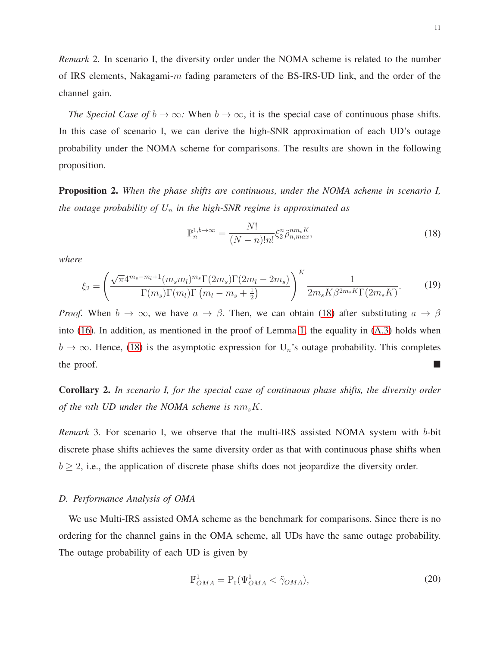*Remark* 2*.* In scenario I, the diversity order under the NOMA scheme is related to the number of IRS elements, Nakagami-m fading parameters of the BS-IRS-UD link, and the order of the channel gain.

*The Special Case of*  $b \to \infty$ *:* When  $b \to \infty$ , it is the special case of continuous phase shifts. In this case of scenario I, we can derive the high-SNR approximation of each UD's outage probability under the NOMA scheme for comparisons. The results are shown in the following proposition.

<span id="page-10-1"></span>Proposition 2. *When the phase shifts are continuous, under the NOMA scheme in scenario I, the outage probability of U*<sup>n</sup> *in the high-SNR regime is approximated as*

$$
\mathbb{P}_n^{1,b\to\infty} = \frac{N!}{(N-n)!n!} \xi_2^n \tilde{\rho}_{n,max}^{nm_s K},\tag{18}
$$

<span id="page-10-0"></span>*where*

$$
\xi_2 = \left(\frac{\sqrt{\pi}4^{m_s - m_l + 1}(m_s m_l)^{m_s} \Gamma(2m_s) \Gamma(2m_l - 2m_s)}{\Gamma(m_s) \Gamma(m_l) \Gamma(m_l - m_s + \frac{1}{2})}\right)^K \frac{1}{2m_s K \beta^{2m_s K} \Gamma(2m_s K)}.
$$
(19)

*Proof.* When  $b \to \infty$ , we have  $a \to \beta$ . Then, we can obtain [\(18\)](#page-10-0) after substituting  $a \to \beta$ into [\(16\)](#page-9-0). In addition, as mentioned in the proof of Lemma [1,](#page-8-1) the equality in [\(A.3\)](#page-23-1) holds when  $b \to \infty$ . Hence, [\(18\)](#page-10-0) is the asymptotic expression for U<sub>n</sub>'s outage probability. This completes the proof.

<span id="page-10-2"></span>Corollary 2. *In scenario I, for the special case of continuous phase shifts, the diversity order of the nth UD under the NOMA scheme is*  $nm_sK$ .

*Remark* 3*.* For scenario I, we observe that the multi-IRS assisted NOMA system with b-bit discrete phase shifts achieves the same diversity order as that with continuous phase shifts when  $b \geq 2$ , i.e., the application of discrete phase shifts does not jeopardize the diversity order.

# *D. Performance Analysis of OMA*

We use Multi-IRS assisted OMA scheme as the benchmark for comparisons. Since there is no ordering for the channel gains in the OMA scheme, all UDs have the same outage probability. The outage probability of each UD is given by

$$
\mathbb{P}^1_{OMA} = \mathcal{P}_r(\Psi^1_{OMA} < \tilde{\gamma}_{OMA}),\tag{20}
$$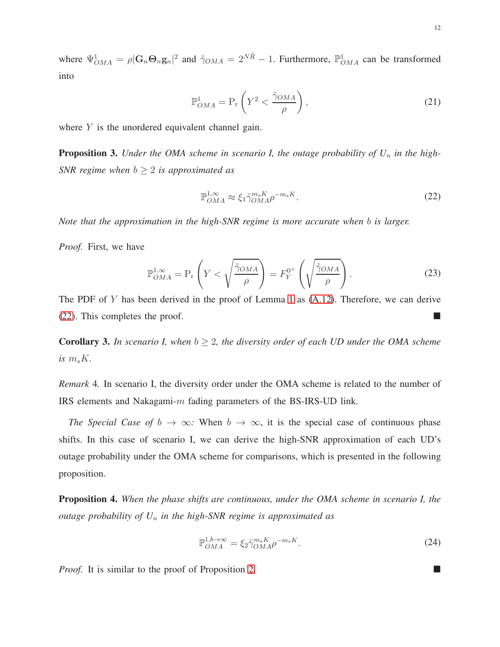where  $\Psi_{OMA}^1 = \rho |\mathbf{G}_n \mathbf{\Theta}_n \mathbf{g}_n|^2$  and  $\tilde{\gamma}_{OMA} = 2^{N\tilde{R}} - 1$ . Furthermore,  $\mathbb{P}_{OMA}^1$  can be transformed into

$$
\mathbb{P}_{OMA}^1 = \mathcal{P}_r \left( Y^2 < \frac{\tilde{\gamma}_{OMA}}{\rho} \right),\tag{21}
$$

where  $Y$  is the unordered equivalent channel gain.

**Proposition 3.** Under the OMA scheme in scenario I, the outage probability of  $U_n$  in the high-*SNR regime when*  $b \geq 2$  *is approximated as* 

$$
\mathbb{P}_{OMA}^{1,\infty} \approx \xi_1 \tilde{\gamma}_{OMA}^{m_s K} \rho^{-m_s K}.
$$
\n(22)

<span id="page-11-0"></span>*Note that the approximation in the high-SNR regime is more accurate when* b *is larger.*

*Proof.* First, we have

$$
\mathbb{P}_{OMA}^{1,\infty} = \mathbb{P}_{\mathbf{r}} \left( Y < \sqrt{\frac{\tilde{\gamma}_{OMA}}{\rho}} \right) = F_Y^{0^+} \left( \sqrt{\frac{\tilde{\gamma}_{OMA}}{\rho}} \right). \tag{23}
$$

The PDF of Y has been derived in the proof of Lemma [1](#page-8-1) as  $(A.12)$ . Therefore, we can derive [\(22\)](#page-11-0). This completes the proof.  $\blacksquare$ 

<span id="page-11-1"></span>**Corollary 3.** In scenario I, when  $b \geq 2$ , the diversity order of each UD under the OMA scheme is  $m_s K$ .

*Remark* 4*.* In scenario I, the diversity order under the OMA scheme is related to the number of IRS elements and Nakagami-m fading parameters of the BS-IRS-UD link.

*The Special Case of*  $b \to \infty$ *:* When  $b \to \infty$ , it is the special case of continuous phase shifts. In this case of scenario I, we can derive the high-SNR approximation of each UD's outage probability under the OMA scheme for comparisons, which is presented in the following proposition.

Proposition 4. *When the phase shifts are continuous, under the OMA scheme in scenario I, the outage probability of U*<sup>n</sup> *in the high-SNR regime is approximated as*

$$
\mathbb{P}_{OMA}^{1,b\to\infty} = \xi_2 \tilde{\gamma}_{OMA}^{m_s K} \rho^{-m_s K}.
$$
\n(24)

<span id="page-11-2"></span>*Proof.* It is similar to the proof of Proposition [2.](#page-10-1)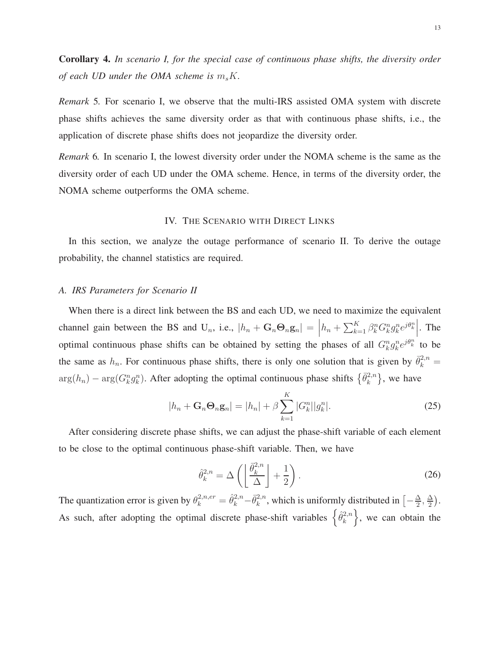<span id="page-12-1"></span>Corollary 4. *In scenario I, for the special case of continuous phase shifts, the diversity order of each UD under the OMA scheme is*  $m_sK$ .

*Remark* 5*.* For scenario I, we observe that the multi-IRS assisted OMA system with discrete phase shifts achieves the same diversity order as that with continuous phase shifts, i.e., the application of discrete phase shifts does not jeopardize the diversity order.

<span id="page-12-0"></span>*Remark* 6*.* In scenario I, the lowest diversity order under the NOMA scheme is the same as the diversity order of each UD under the OMA scheme. Hence, in terms of the diversity order, the NOMA scheme outperforms the OMA scheme.

# IV. THE SCENARIO WITH DIRECT LINKS

In this section, we analyze the outage performance of scenario II. To derive the outage probability, the channel statistics are required.

# *A. IRS Parameters for Scenario II*

When there is a direct link between the BS and each UD, we need to maximize the equivalent channel gain between the BS and U<sub>n</sub>, i.e.,  $|h_n + G_n \Theta_n g_n| =$  $h_n + \sum_{k=1}^K \beta_k^n G_k^n g_k^n e^{j\theta_k^n}$ . The optimal continuous phase shifts can be obtained by setting the phases of all  $G_k^n g_k^n e^{j\theta_k^n}$  to be the same as  $h_n$ . For continuous phase shifts, there is only one solution that is given by  $\bar{\theta}_k^{2,n} =$  $\arg(h_n) - \arg(G_k^n g_k^n)$ . After adopting the optimal continuous phase shifts  $\{\bar{\theta}_k^{2,n}$  $\{^{2,n}_k\}$ , we have

$$
|h_n + \mathbf{G}_n \mathbf{\Theta}_n \mathbf{g}_n| = |h_n| + \beta \sum_{k=1}^K |G_k^n||g_k^n|.
$$
 (25)

After considering discrete phase shifts, we can adjust the phase-shift variable of each element to be close to the optimal continuous phase-shift variable. Then, we have

$$
\hat{\theta}_k^{2,n} = \Delta \left( \left\lfloor \frac{\bar{\theta}_k^{2,n}}{\Delta} \right\rfloor + \frac{1}{2} \right). \tag{26}
$$

The quantization error is given by  $\theta_k^{2,n,er} = \hat{\theta}_k^{2,n} - \bar{\theta}_k^{2,n}$  $\frac{2n}{k}$ , which is uniformly distributed in  $\left[-\frac{\Delta}{2}\right]$  $\frac{\Delta}{2}$ ,  $\frac{\Delta}{2}$  $\frac{\Delta}{2}$ . As such, after adopting the optimal discrete phase-shift variables  $\{\hat{\theta}_k^{2,n}$  $\{e^{2,n}\}\;$ , we can obtain the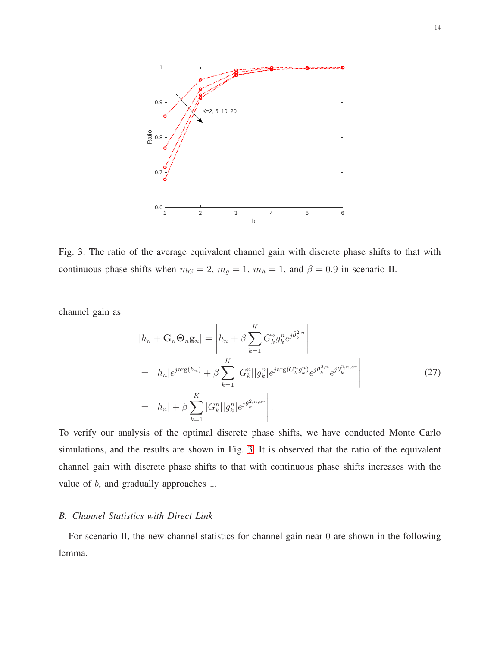<span id="page-13-0"></span>

Fig. 3: The ratio of the average equivalent channel gain with discrete phase shifts to that with continuous phase shifts when  $m_G = 2$ ,  $m_g = 1$ ,  $m_h = 1$ , and  $\beta = 0.9$  in scenario II.

channel gain as

$$
|h_n + \mathbf{G}_n \mathbf{\Theta}_n \mathbf{g}_n| = \left| h_n + \beta \sum_{k=1}^K G_k^n g_k^n e^{j \hat{\theta}_k^2 n} \right|
$$
  
= 
$$
\left| |h_n| e^{j \arg(h_n)} + \beta \sum_{k=1}^K |G_k^n| |g_k^n| e^{j \arg(G_k^n g_k^n)} e^{j \bar{\theta}_k^2 n} e^{j \theta_k^2 n, e r} \right|
$$
  
= 
$$
\left| |h_n| + \beta \sum_{k=1}^K |G_k^n| |g_k^n| e^{j \theta_k^2 n, e r} \right|.
$$
 (27)

To verify our analysis of the optimal discrete phase shifts, we have conducted Monte Carlo simulations, and the results are shown in Fig. [3.](#page-13-0) It is observed that the ratio of the equivalent channel gain with discrete phase shifts to that with continuous phase shifts increases with the value of b, and gradually approaches 1.

# *B. Channel Statistics with Direct Link*

For scenario II, the new channel statistics for channel gain near 0 are shown in the following lemma.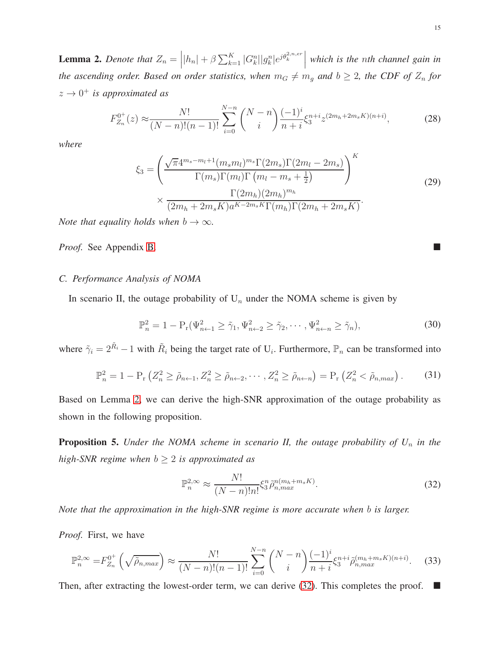<span id="page-14-0"></span>**Lemma 2.** Denote that  $Z_n = |h_n| + \beta \sum_{k=1}^K |G_k^n||g_k^n|e^{j\theta_k^{2,n,er}}|$ *which is the* n*th channel gain in the ascending order. Based on order statistics, when*  $m_G \neq m_g$  *and*  $b \geq 2$ *, the CDF of*  $Z_n$  *for*  $z \rightarrow 0^+$  *is approximated as* 

$$
F_{Z_n}^{0^+}(z) \approx \frac{N!}{(N-n)!(n-1)!} \sum_{i=0}^{N-n} \binom{N-n}{i} \frac{(-1)^i}{n+i} \xi_3^{n+i} z^{(2m_h+2m_s K)(n+i)},\tag{28}
$$

*where*

$$
\xi_{3} = \left(\frac{\sqrt{\pi}4^{m_{s}-m_{l}+1}(m_{s}m_{l})^{m_{s}}\Gamma(2m_{s})\Gamma(2m_{l}-2m_{s})}{\Gamma(m_{s})\Gamma(m_{l})\Gamma(m_{l}-m_{s}+\frac{1}{2})}\right)^{K}
$$
\n
$$
\times \frac{\Gamma(2m_{h})(2m_{h})^{m_{h}}}{(2m_{h}+2m_{s}K)a^{K-2m_{s}K}\Gamma(m_{h})\Gamma(2m_{h}+2m_{s}K)}.
$$
\n(29)

*Note that equality holds when*  $b \to \infty$ *.* 

*Proof.* See Appendix [B.](#page-25-0)

# *C. Performance Analysis of NOMA*

In scenario II, the outage probability of  $U_n$  under the NOMA scheme is given by

$$
\mathbb{P}_n^2 = 1 - \mathcal{P}_r(\Psi_{n+1}^2 \ge \tilde{\gamma}_1, \Psi_{n+2}^2 \ge \tilde{\gamma}_2, \cdots, \Psi_{n+n}^2 \ge \tilde{\gamma}_n),\tag{30}
$$

where  $\tilde{\gamma}_i = 2^{\tilde{R}_i} - 1$  with  $\tilde{R}_i$  being the target rate of  $U_i$ . Furthermore,  $\mathbb{P}_n$  can be transformed into

$$
\mathbb{P}_n^2 = 1 - \mathcal{P}_r \left( Z_n^2 \ge \tilde{\rho}_{n+1}, Z_n^2 \ge \tilde{\rho}_{n+2}, \cdots, Z_n^2 \ge \tilde{\rho}_{n+n} \right) = \mathcal{P}_r \left( Z_n^2 < \tilde{\rho}_{n, max} \right). \tag{31}
$$

Based on Lemma [2,](#page-14-0) we can derive the high-SNR approximation of the outage probability as shown in the following proposition.

**Proposition 5.** *Under the NOMA scheme in scenario II, the outage probability of*  $U_n$  *in the high-SNR regime when*  $b \geq 2$  *is approximated as* 

$$
\mathbb{P}_n^{2,\infty} \approx \frac{N!}{(N-n)!n!} \xi_3^n \tilde{\rho}_{n,max}^{n(m_h+m_s K)}.
$$
\n(32)

<span id="page-14-1"></span>*Note that the approximation in the high-SNR regime is more accurate when* b *is larger.*

*Proof.* First, we have

$$
\mathbb{P}_n^{2,\infty} = F_{Z_n}^{0^+} \left( \sqrt{\tilde{\rho}_{n,max}} \right) \approx \frac{N!}{(N-n)!(n-1)!} \sum_{i=0}^{N-n} {N-n \choose i} \frac{(-1)^i}{n+i} \xi_3^{n+i} \tilde{\rho}_{n,max}^{(m_h+m_s K)(n+i)}.
$$
 (33)

Then, after extracting the lowest-order term, we can derive [\(32\)](#page-14-1). This completes the proof.  $\blacksquare$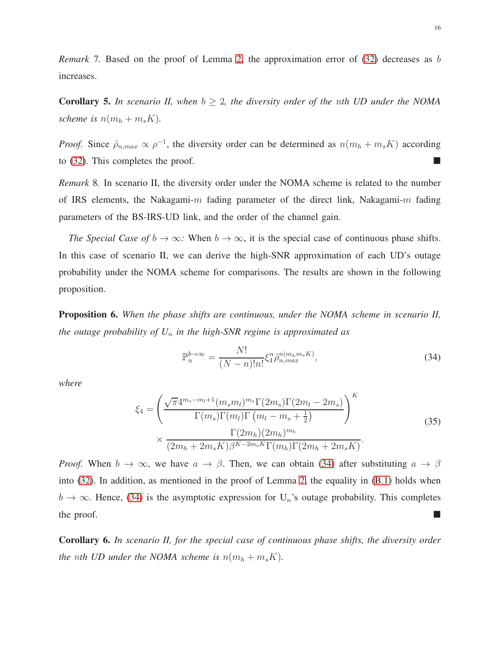*Remark* 7. Based on the proof of Lemma [2,](#page-14-0) the approximation error of [\(32\)](#page-14-1) decreases as b increases.

<span id="page-15-2"></span>**Corollary 5.** In scenario II, when  $b \geq 2$ , the diversity order of the nth UD under the NOMA *scheme is*  $n(m_h + m_s K)$ .

*Proof.* Since  $\tilde{\rho}_{n,max} \propto \rho^{-1}$ , the diversity order can be determined as  $n(m_h + m_s K)$  according to [\(32\)](#page-14-1). This completes the proof.  $\blacksquare$ 

*Remark* 8*.* In scenario II, the diversity order under the NOMA scheme is related to the number of IRS elements, the Nakagami-m fading parameter of the direct link, Nakagami-m fading parameters of the BS-IRS-UD link, and the order of the channel gain.

*The Special Case of*  $b \to \infty$ *:* When  $b \to \infty$ , it is the special case of continuous phase shifts. In this case of scenario II, we can derive the high-SNR approximation of each UD's outage probability under the NOMA scheme for comparisons. The results are shown in the following proposition.

<span id="page-15-1"></span>Proposition 6. *When the phase shifts are continuous, under the NOMA scheme in scenario II, the outage probability of U*<sup>n</sup> *in the high-SNR regime is approximated as*

$$
\mathbb{P}_n^{b \to \infty} = \frac{N!}{(N-n)!n!} \xi_4^n \tilde{\rho}_{n,max}^{n(m_h m_s K)},\tag{34}
$$

<span id="page-15-0"></span>*where*

$$
\xi_{4} = \left(\frac{\sqrt{\pi}4^{m_{s}-m_{l}+1}(m_{s}m_{l})^{m_{s}}\Gamma(2m_{s})\Gamma(2m_{l}-2m_{s})}{\Gamma(m_{s})\Gamma(m_{l})\Gamma(m_{l}-m_{s}+\frac{1}{2})}\right)^{K}
$$
\n
$$
\times \frac{\Gamma(2m_{h})(2m_{h})^{m_{h}}}{(2m_{h}+2m_{s}K)\beta^{K-2m_{s}K}\Gamma(m_{h})\Gamma(2m_{h}+2m_{s}K)}.
$$
\n(35)

*Proof.* When  $b \to \infty$ , we have  $a \to \beta$ . Then, we can obtain [\(34\)](#page-15-0) after substituting  $a \to \beta$ into [\(32\)](#page-14-1). In addition, as mentioned in the proof of Lemma [2,](#page-14-0) the equality in [\(B.1\)](#page-25-1) holds when  $b \to \infty$ . Hence, [\(34\)](#page-15-0) is the asymptotic expression for U<sub>n</sub>'s outage probability. This completes the proof.

<span id="page-15-3"></span>Corollary 6. *In scenario II, for the special case of continuous phase shifts, the diversity order the nth UD under the NOMA scheme is*  $n(m_h + m_s K)$ *.*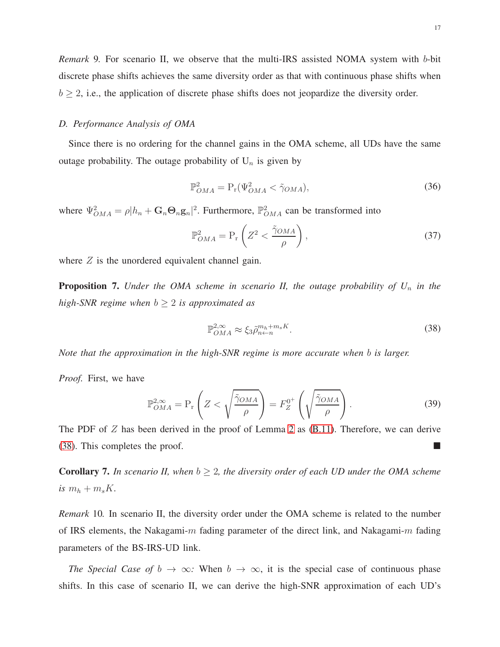*Remark* 9*.* For scenario II, we observe that the multi-IRS assisted NOMA system with b-bit discrete phase shifts achieves the same diversity order as that with continuous phase shifts when  $b \geq 2$ , i.e., the application of discrete phase shifts does not jeopardize the diversity order.

# *D. Performance Analysis of OMA*

Since there is no ordering for the channel gains in the OMA scheme, all UDs have the same outage probability. The outage probability of  $U_n$  is given by

$$
\mathbb{P}_{OMA}^2 = \mathcal{P}_r(\Psi_{OMA}^2 < \tilde{\gamma}_{OMA}),\tag{36}
$$

where  $\Psi_{OMA}^2 = \rho |h_n + G_n \Theta_n g_n|^2$ . Furthermore,  $\mathbb{P}_{OMA}^2$  can be transformed into

$$
\mathbb{P}_{OMA}^2 = \mathcal{P}_r \left( Z^2 < \frac{\tilde{\gamma}_{OMA}}{\rho} \right),\tag{37}
$$

where  $Z$  is the unordered equivalent channel gain.

Proposition 7. *Under the OMA scheme in scenario II, the outage probability of*  $U_n$  *in the high-SNR regime when*  $b \geq 2$  *is approximated as* 

$$
\mathbb{P}_{OMA}^{2,\infty} \approx \xi_3 \tilde{\rho}_{n\leftarrow n}^{m_h + m_s K}.\tag{38}
$$

<span id="page-16-0"></span>*Note that the approximation in the high-SNR regime is more accurate when* b *is larger.*

*Proof.* First, we have

$$
\mathbb{P}_{OMA}^{2,\infty} = \mathbb{P}_{\mathbf{r}} \left( Z < \sqrt{\frac{\tilde{\gamma}_{OMA}}{\rho}} \right) = F_Z^{0^+} \left( \sqrt{\frac{\tilde{\gamma}_{OMA}}{\rho}} \right). \tag{39}
$$

The PDF of  $Z$  has been derived in the proof of Lemma [2](#page-14-0) as  $(B.11)$ . Therefore, we can derive [\(38\)](#page-16-0). This completes the proof.

<span id="page-16-1"></span>**Corollary 7.** In scenario II, when  $b \geq 2$ , the diversity order of each UD under the OMA scheme is  $m_h + m_s K$ .

*Remark* 10*.* In scenario II, the diversity order under the OMA scheme is related to the number of IRS elements, the Nakagami-m fading parameter of the direct link, and Nakagami-m fading parameters of the BS-IRS-UD link.

*The Special Case of*  $b \to \infty$ *:* When  $b \to \infty$ , it is the special case of continuous phase shifts. In this case of scenario II, we can derive the high-SNR approximation of each UD's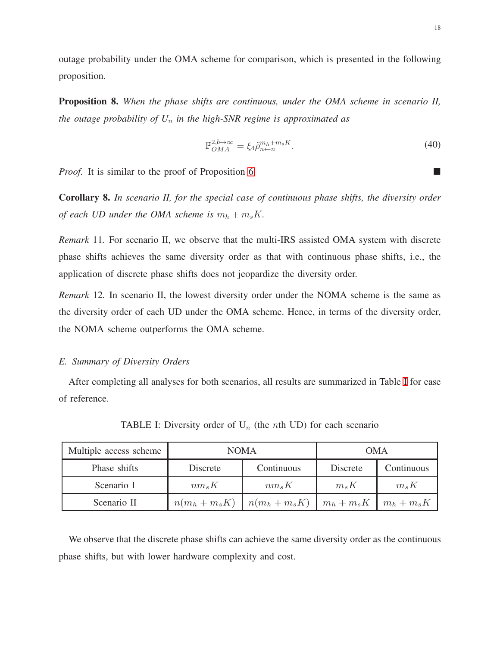outage probability under the OMA scheme for comparison, which is presented in the following proposition.

Proposition 8. *When the phase shifts are continuous, under the OMA scheme in scenario II, the outage probability of U*<sup>n</sup> *in the high-SNR regime is approximated as*

$$
\mathbb{P}_{OMA}^{2,b\to\infty} = \xi_4 \tilde{\rho}_{n\leftarrow n}^{m_h + m_s K}.
$$
\n(40)

<span id="page-17-1"></span>*Proof.* It is similar to the proof of Proposition [6.](#page-15-1) ■

<span id="page-17-2"></span>Corollary 8. *In scenario II, for the special case of continuous phase shifts, the diversity order of each UD under the OMA scheme is*  $m_h + m_s K$ .

*Remark* 11*.* For scenario II, we observe that the multi-IRS assisted OMA system with discrete phase shifts achieves the same diversity order as that with continuous phase shifts, i.e., the application of discrete phase shifts does not jeopardize the diversity order.

*Remark* 12*.* In scenario II, the lowest diversity order under the NOMA scheme is the same as the diversity order of each UD under the OMA scheme. Hence, in terms of the diversity order, the NOMA scheme outperforms the OMA scheme.

# *E. Summary of Diversity Orders*

<span id="page-17-0"></span>After completing all analyses for both scenarios, all results are summarized in Table [I](#page-17-0) for ease of reference.

| Multiple access scheme | <b>NOMA</b>    |                | OMA           |               |
|------------------------|----------------|----------------|---------------|---------------|
| Phase shifts           | Discrete       | Continuous     | Discrete      | Continuous    |
| Scenario I             | $nm_sK$        | $nm_sK$        | $m_s K$       | $m_s K$       |
| Scenario II            | $n(m_h+m_s K)$ | $n(m_h+m_s K)$ | $m_h + m_s K$ | $m_h + m_s K$ |

TABLE I: Diversity order of  $U_n$  (the *n*th UD) for each scenario

We observe that the discrete phase shifts can achieve the same diversity order as the continuous phase shifts, but with lower hardware complexity and cost.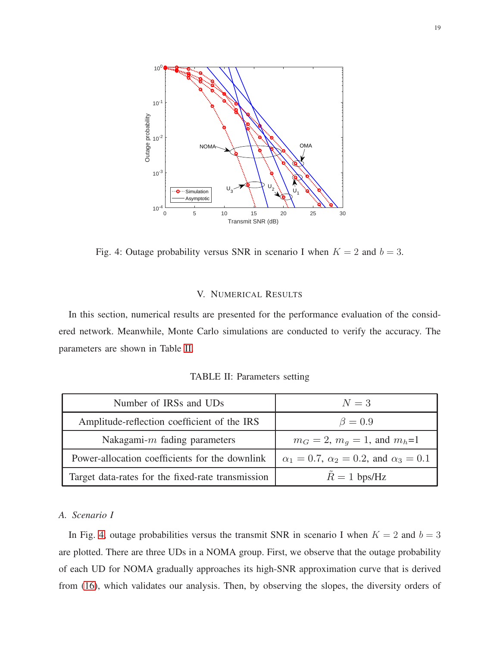<span id="page-18-2"></span>

Fig. 4: Outage probability versus SNR in scenario I when  $K = 2$  and  $b = 3$ .

# V. NUMERICAL RESULTS

<span id="page-18-1"></span><span id="page-18-0"></span>In this section, numerical results are presented for the performance evaluation of the considered network. Meanwhile, Monte Carlo simulations are conducted to verify the accuracy. The parameters are shown in Table [II.](#page-18-1)

TABLE II: Parameters setting

| Number of IRSs and UDs                            | $N=3$                                                      |  |
|---------------------------------------------------|------------------------------------------------------------|--|
| Amplitude-reflection coefficient of the IRS       | $\beta=0.9$                                                |  |
| Nakagami- $m$ fading parameters                   | $m_G = 2$ , $m_q = 1$ , and $m_h=1$                        |  |
| Power-allocation coefficients for the downlink    | $\alpha_1 = 0.7$ , $\alpha_2 = 0.2$ , and $\alpha_3 = 0.1$ |  |
| Target data-rates for the fixed-rate transmission | $R = 1$ bps/Hz                                             |  |

#### *A. Scenario I*

In Fig. [4,](#page-18-2) outage probabilities versus the transmit SNR in scenario I when  $K = 2$  and  $b = 3$ are plotted. There are three UDs in a NOMA group. First, we observe that the outage probability of each UD for NOMA gradually approaches its high-SNR approximation curve that is derived from [\(16\)](#page-9-0), which validates our analysis. Then, by observing the slopes, the diversity orders of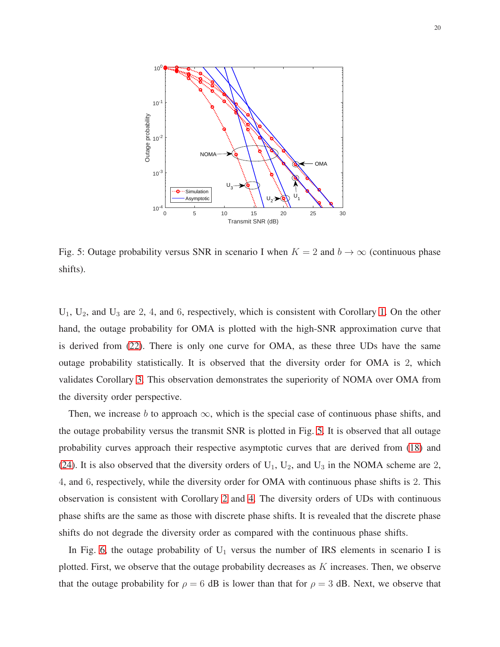<span id="page-19-0"></span>

Fig. 5: Outage probability versus SNR in scenario I when  $K = 2$  and  $b \to \infty$  (continuous phase shifts).

 $U_1$ ,  $U_2$ , and  $U_3$  are 2, 4, and 6, respectively, which is consistent with Corollary [1.](#page-9-1) On the other hand, the outage probability for OMA is plotted with the high-SNR approximation curve that is derived from [\(22\)](#page-11-0). There is only one curve for OMA, as these three UDs have the same outage probability statistically. It is observed that the diversity order for OMA is 2, which validates Corollary [3.](#page-11-1) This observation demonstrates the superiority of NOMA over OMA from the diversity order perspective.

Then, we increase b to approach  $\infty$ , which is the special case of continuous phase shifts, and the outage probability versus the transmit SNR is plotted in Fig. [5.](#page-19-0) It is observed that all outage probability curves approach their respective asymptotic curves that are derived from [\(18\)](#page-10-0) and [\(24\)](#page-11-2). It is also observed that the diversity orders of  $U_1$ ,  $U_2$ , and  $U_3$  in the NOMA scheme are 2, 4, and 6, respectively, while the diversity order for OMA with continuous phase shifts is 2. This observation is consistent with Corollary [2](#page-10-2) and [4.](#page-12-1) The diversity orders of UDs with continuous phase shifts are the same as those with discrete phase shifts. It is revealed that the discrete phase shifts do not degrade the diversity order as compared with the continuous phase shifts.

In Fig. [6,](#page-20-0) the outage probability of  $U_1$  versus the number of IRS elements in scenario I is plotted. First, we observe that the outage probability decreases as  $K$  increases. Then, we observe that the outage probability for  $\rho = 6$  dB is lower than that for  $\rho = 3$  dB. Next, we observe that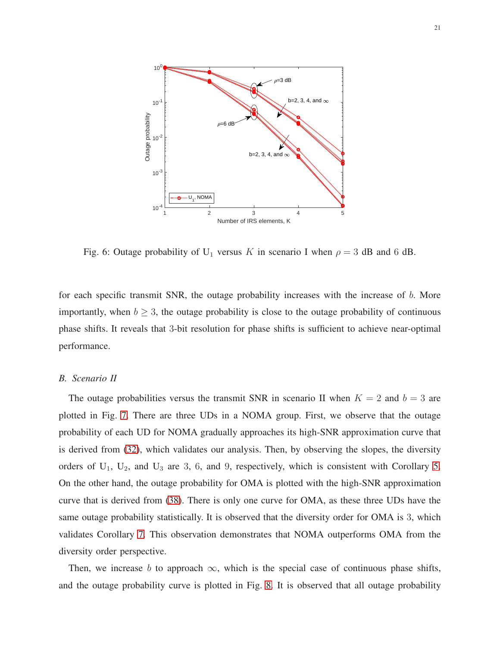<span id="page-20-0"></span>

Fig. 6: Outage probability of U<sub>1</sub> versus K in scenario I when  $\rho = 3$  dB and 6 dB.

for each specific transmit SNR, the outage probability increases with the increase of b. More importantly, when  $b \geq 3$ , the outage probability is close to the outage probability of continuous phase shifts. It reveals that 3-bit resolution for phase shifts is sufficient to achieve near-optimal performance.

# *B. Scenario II*

The outage probabilities versus the transmit SNR in scenario II when  $K = 2$  and  $b = 3$  are plotted in Fig. [7.](#page-21-0) There are three UDs in a NOMA group. First, we observe that the outage probability of each UD for NOMA gradually approaches its high-SNR approximation curve that is derived from [\(32\)](#page-14-1), which validates our analysis. Then, by observing the slopes, the diversity orders of  $U_1$ ,  $U_2$ , and  $U_3$  are 3, 6, and 9, respectively, which is consistent with Corollary [5.](#page-15-2) On the other hand, the outage probability for OMA is plotted with the high-SNR approximation curve that is derived from [\(38\)](#page-16-0). There is only one curve for OMA, as these three UDs have the same outage probability statistically. It is observed that the diversity order for OMA is 3, which validates Corollary [7.](#page-16-1) This observation demonstrates that NOMA outperforms OMA from the diversity order perspective.

Then, we increase b to approach  $\infty$ , which is the special case of continuous phase shifts, and the outage probability curve is plotted in Fig. [8.](#page-21-1) It is observed that all outage probability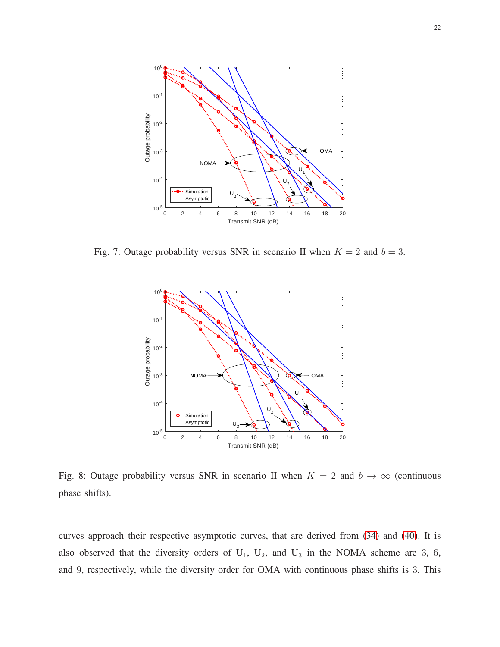<span id="page-21-0"></span>

<span id="page-21-1"></span>Fig. 7: Outage probability versus SNR in scenario II when  $K = 2$  and  $b = 3$ .



Fig. 8: Outage probability versus SNR in scenario II when  $K = 2$  and  $b \to \infty$  (continuous phase shifts).

curves approach their respective asymptotic curves, that are derived from [\(34\)](#page-15-0) and [\(40\)](#page-17-1). It is also observed that the diversity orders of  $U_1$ ,  $U_2$ , and  $U_3$  in the NOMA scheme are 3, 6, and 9, respectively, while the diversity order for OMA with continuous phase shifts is 3. This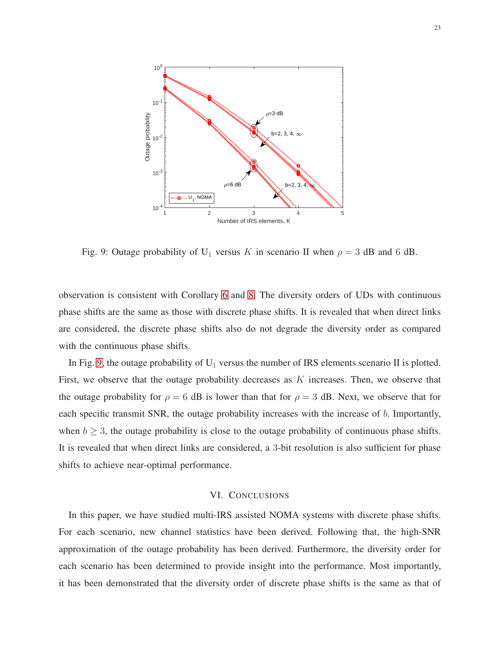<span id="page-22-1"></span>

Fig. 9: Outage probability of U<sub>1</sub> versus K in scenario II when  $\rho = 3$  dB and 6 dB.

observation is consistent with Corollary [6](#page-15-3) and [8.](#page-17-2) The diversity orders of UDs with continuous phase shifts are the same as those with discrete phase shifts. It is revealed that when direct links are considered, the discrete phase shifts also do not degrade the diversity order as compared with the continuous phase shifts.

In Fig. [9,](#page-22-1) the outage probability of  $U_1$  versus the number of IRS elements scenario II is plotted. First, we observe that the outage probability decreases as  $K$  increases. Then, we observe that the outage probability for  $\rho = 6$  dB is lower than that for  $\rho = 3$  dB. Next, we observe that for each specific transmit SNR, the outage probability increases with the increase of b. Importantly, when  $b \geq 3$ , the outage probability is close to the outage probability of continuous phase shifts. It is revealed that when direct links are considered, a 3-bit resolution is also sufficient for phase shifts to achieve near-optimal performance.

# VI. CONCLUSIONS

<span id="page-22-0"></span>In this paper, we have studied multi-IRS assisted NOMA systems with discrete phase shifts. For each scenario, new channel statistics have been derived. Following that, the high-SNR approximation of the outage probability has been derived. Furthermore, the diversity order for each scenario has been determined to provide insight into the performance. Most importantly, it has been demonstrated that the diversity order of discrete phase shifts is the same as that of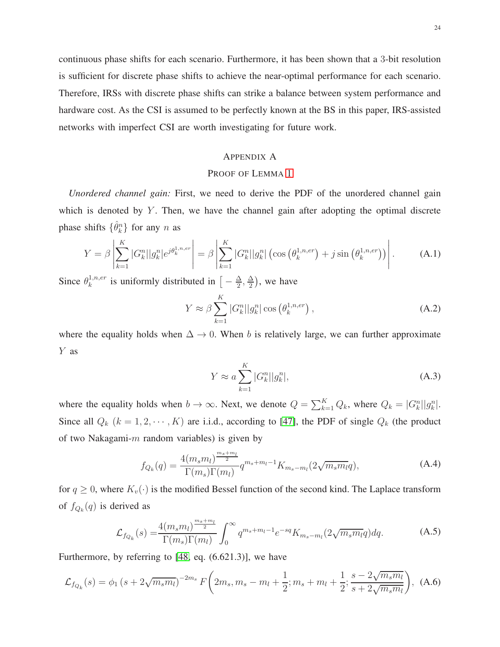continuous phase shifts for each scenario. Furthermore, it has been shown that a 3-bit resolution is sufficient for discrete phase shifts to achieve the near-optimal performance for each scenario. Therefore, IRSs with discrete phase shifts can strike a balance between system performance and hardware cost. As the CSI is assumed to be perfectly known at the BS in this paper, IRS-assisted networks with imperfect CSI are worth investigating for future work.

# <span id="page-23-0"></span>APPENDIX A

# PROOF OF LEMMA [1](#page-8-1)

*Unordered channel gain:* First, we need to derive the PDF of the unordered channel gain which is denoted by  $Y$ . Then, we have the channel gain after adopting the optimal discrete phase shifts  $\{\hat{\theta}_k^n\}$  for any n as

$$
Y = \beta \left| \sum_{k=1}^{K} |G_k^n| |g_k^n| e^{j \theta_k^{1, n, er}} \right| = \beta \left| \sum_{k=1}^{K} |G_k^n| |g_k^n| \left( \cos \left( \theta_k^{1, n, er} \right) + j \sin \left( \theta_k^{1, n, er} \right) \right) \right|.
$$
 (A.1)

Since  $\theta_k^{1,n,er}$  $\frac{1}{k}$ ,  $n, er$  is uniformly distributed in  $\left[ -\frac{\Delta}{2} \right]$  $\frac{\Delta}{2}$ ,  $\frac{\Delta}{2}$  $\frac{\Delta}{2}$ ), we have

$$
Y \approx \beta \sum_{k=1}^{K} |G_k^n| |g_k^n| \cos \left(\theta_k^{1,n,er}\right), \tag{A.2}
$$

where the equality holds when  $\Delta \rightarrow 0$ . When b is relatively large, we can further approximate Y as

$$
Y \approx a \sum_{k=1}^{K} |G_k^n||g_k^n|,\tag{A.3}
$$

<span id="page-23-1"></span>where the equality holds when  $b \to \infty$ . Next, we denote  $Q = \sum_{k=1}^{K} Q_k$ , where  $Q_k = |G_k^n||g_k^n|$ . Since all  $Q_k$   $(k = 1, 2, \dots, K)$  are i.i.d., according to [\[47\]](#page-29-1), the PDF of single  $Q_k$  (the product of two Nakagami- $m$  random variables) is given by

$$
f_{Q_k}(q) = \frac{4(m_s m_l)^{\frac{m_s + m_l}{2}}}{\Gamma(m_s)\Gamma(m_l)} q^{m_s + m_l - 1} K_{m_s - m_l}(2\sqrt{m_s m_l}q),
$$
 (A.4)

for  $q \geq 0$ , where  $K_v(\cdot)$  is the modified Bessel function of the second kind. The Laplace transform of  $f_{Q_k}(q)$  is derived as

$$
\mathcal{L}_{f_{Q_k}}(s) = \frac{4(m_s m_l)^{\frac{m_s + m_l}{2}}}{\Gamma(m_s)\Gamma(m_l)} \int_0^\infty q^{m_s + m_l - 1} e^{-sq} K_{m_s - m_l}(2\sqrt{m_s m_l}q) dq.
$$
 (A.5)

Furthermore, by referring to [\[48,](#page-29-2) eq. (6.621.3)], we have

$$
\mathcal{L}_{f_{Q_k}}(s) = \phi_1 \left(s + 2\sqrt{m_s m_l}\right)^{-2m_s} F\left(2m_s, m_s - m_l + \frac{1}{2}; m_s + m_l + \frac{1}{2}; \frac{s - 2\sqrt{m_s m_l}}{s + 2\sqrt{m_s m_l}}\right), \tag{A.6}
$$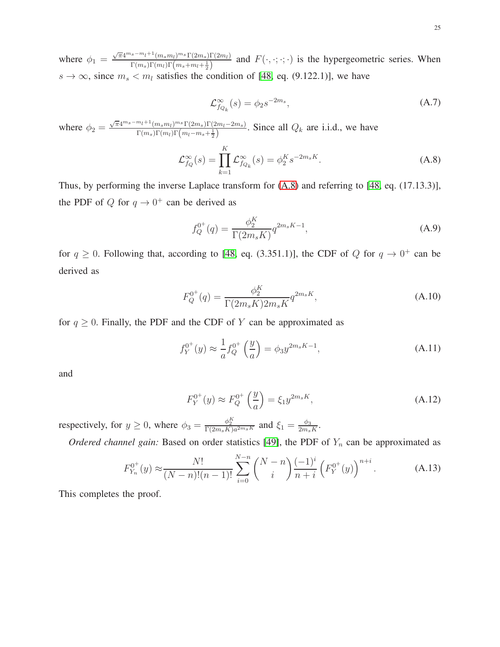where  $\phi_1 = \frac{\sqrt{\pi}4^{m_s - m_l + 1}(m_s m_l)^{m_s} \Gamma(2m_s) \Gamma(2m_l)}{\Gamma(m_s) \Gamma(m_s) \Gamma(m_s + m_l + 1)}$  $F(m_s) \Gamma(m_l) \Gamma(m_s+m_l+\frac{1}{2})$  and  $F(\cdot,\cdot;\cdot;\cdot)$  is the hypergeometric series. When  $s \to \infty$ , since  $m_s < m_l$  satisfies the condition of [\[48,](#page-29-2) eq. (9.122.1)], we have

$$
\mathcal{L}_{f_{Q_k}}^{\infty}(s) = \phi_2 s^{-2m_s},\tag{A.7}
$$

<span id="page-24-1"></span>where  $\phi_2 = \frac{\sqrt{\pi}4^{m_s - m_l + 1}(m_s m_l)^{m_s} \Gamma(2m_s) \Gamma(m_l - 2m_s)}{\Gamma(m_l) \Gamma(m_l \Gamma(m_s - m_l + 1))}$  $\frac{m_l \cdot (m_s m_l)^{m_s} (2m_s) (2m_l - 2m_s)}{\Gamma(m_s) \Gamma(m_l) \Gamma(m_l - m_s + \frac{1}{2})}$ . Since all  $Q_k$  are i.i.d., we have

$$
\mathcal{L}_{f_Q}^{\infty}(s) = \prod_{k=1}^{K} \mathcal{L}_{f_{Q_k}}^{\infty}(s) = \phi_2^{K} s^{-2m_s K}.
$$
\n(A.8)

Thus, by performing the inverse Laplace transform for [\(A.8\)](#page-24-1) and referring to [\[48,](#page-29-2) eq. (17.13.3)], the PDF of Q for  $q \to 0^+$  can be derived as

$$
f_Q^{0^+}(q) = \frac{\phi_2^K}{\Gamma(2m_s K)} q^{2m_s K - 1},
$$
\n(A.9)

for  $q \ge 0$ . Following that, according to [\[48,](#page-29-2) eq. (3.351.1)], the CDF of Q for  $q \to 0^+$  can be derived as

$$
F_Q^{0^+}(q) = \frac{\phi_2^K}{\Gamma(2m_s K) 2m_s K} q^{2m_s K},
$$
\n(A.10)

for  $q \ge 0$ . Finally, the PDF and the CDF of Y can be approximated as

$$
f_Y^{0^+}(y) \approx \frac{1}{a} f_Q^{0^+} \left(\frac{y}{a}\right) = \phi_3 y^{2m_s K - 1},\tag{A.11}
$$

<span id="page-24-0"></span>and

$$
F_Y^{0^+}(y) \approx F_Q^{0^+}\left(\frac{y}{a}\right) = \xi_1 y^{2m_s K},\tag{A.12}
$$

respectively, for  $y \ge 0$ , where  $\phi_3 = \frac{\phi_2^K}{\Gamma(2m_s K)a^{2m_s K}}$  and  $\xi_1 = \frac{\phi_3}{2m_s}$  $\frac{\phi_3}{2m_s K}$ .

*Ordered channel gain:* Based on order statistics [\[49\]](#page-29-3), the PDF of  $Y_n$  can be approximated as

$$
F_{Y_n}^{0^+}(y) \approx \frac{N!}{(N-n)!(n-1)!} \sum_{i=0}^{N-n} \binom{N-n}{i} \frac{(-1)^i}{n+i} \left(F_Y^{0^+}(y)\right)^{n+i}.\tag{A.13}
$$

This completes the proof.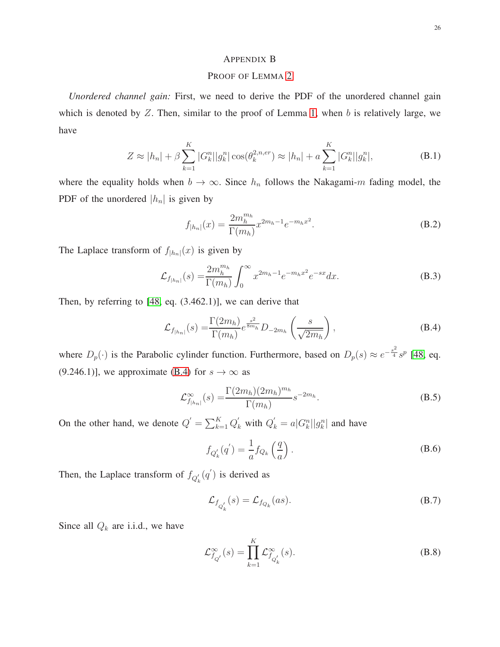# <span id="page-25-0"></span>APPENDIX B

# PROOF OF LEMMA [2](#page-14-0)

*Unordered channel gain:* First, we need to derive the PDF of the unordered channel gain which is denoted by  $Z$ . Then, similar to the proof of Lemma [1,](#page-8-1) when b is relatively large, we have

$$
Z \approx |h_n| + \beta \sum_{k=1}^{K} |G_k^n| |g_k^n| \cos(\theta_k^{2,n,er}) \approx |h_n| + a \sum_{k=1}^{K} |G_k^n| |g_k^n|,
$$
 (B.1)

<span id="page-25-1"></span>where the equality holds when  $b \to \infty$ . Since  $h_n$  follows the Nakagami-m fading model, the PDF of the unordered  $|h_n|$  is given by

$$
f_{|h_n|}(x) = \frac{2m_h^{m_h}}{\Gamma(m_h)} x^{2m_h - 1} e^{-m_h x^2}.
$$
 (B.2)

The Laplace transform of  $f_{|h_n|}(x)$  is given by

$$
\mathcal{L}_{f_{|h_n|}}(s) = \frac{2m_h^{m_h}}{\Gamma(m_h)} \int_0^\infty x^{2m_h - 1} e^{-m_h x^2} e^{-sx} dx.
$$
 (B.3)

<span id="page-25-2"></span>Then, by referring to [\[48,](#page-29-2) eq. (3.462.1)], we can derive that

$$
\mathcal{L}_{f_{|h_n|}}(s) = \frac{\Gamma(2m_h)}{\Gamma(m_h)} e^{\frac{s^2}{8m_h}} D_{-2m_h} \left(\frac{s}{\sqrt{2m_h}}\right),\tag{B.4}
$$

where  $D_p(\cdot)$  is the Parabolic cylinder function. Furthermore, based on  $D_p(s) \approx e^{-\frac{s^2}{4}} s^p$  [\[48,](#page-29-2) eq. (9.246.1)], we approximate [\(B.4\)](#page-25-2) for  $s \to \infty$  as

$$
\mathcal{L}_{f_{|h_n|}}^{\infty}(s) = \frac{\Gamma(2m_h)(2m_h)^{m_h}}{\Gamma(m_h)} s^{-2m_h}.
$$
\n(B.5)

On the other hand, we denote  $Q' = \sum_{k=1}^{K} Q'_k$  with  $Q'_k = a |G_k^n||g_k^n|$  and have

$$
f_{Q'_k}(q') = \frac{1}{a} f_{Q_k}\left(\frac{q}{a}\right). \tag{B.6}
$$

Then, the Laplace transform of  $f_{Q'_{k}}(q')$  is derived as

$$
\mathcal{L}_{f_{Q'_k}}(s) = \mathcal{L}_{f_{Q_k}}(as). \tag{B.7}
$$

Since all  $Q_k$  are i.i.d., we have

$$
\mathcal{L}_{f_{Q'}}^{\infty}(s) = \prod_{k=1}^{K} \mathcal{L}_{f_{Q'_k}}^{\infty}(s).
$$
 (B.8)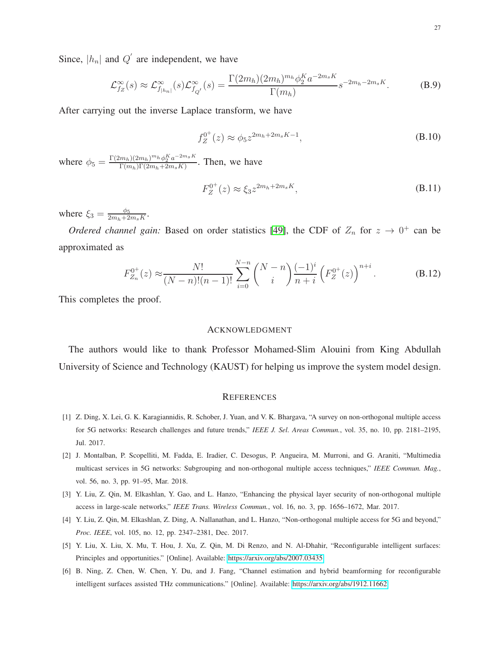Since,  $|h_n|$  and  $Q'$  are independent, we have

$$
\mathcal{L}_{f_Z}^{\infty}(s) \approx \mathcal{L}_{f_{|h_n|}}^{\infty}(s) \mathcal{L}_{f_{Q'}}^{\infty}(s) = \frac{\Gamma(2m_h)(2m_h)^{m_h} \phi_2^K a^{-2m_s K}}{\Gamma(m_h)} s^{-2m_h - 2m_s K}.
$$
 (B.9)

After carrying out the inverse Laplace transform, we have

$$
f_Z^{0^+}(z) \approx \phi_5 z^{2m_h + 2m_s K - 1}, \tag{B.10}
$$

<span id="page-26-6"></span>where  $\phi_5 = \frac{\Gamma(2m_h)(2m_h)^{m_h} \phi_2^{K} a^{-2m_s K}}{\Gamma(m_h) \Gamma(2m_h + 2m_s K)}$  $\frac{m_h(2m_h)^{m_h}\varphi_2^{-}a^{-2m_s}}{\Gamma(m_h)\Gamma(2m_h+2m_sK)}$ . Then, we have

$$
F_Z^{0^+}(z) \approx \xi_3 z^{2m_h + 2m_s K}, \tag{B.11}
$$

where  $\xi_3 = \frac{\phi_5}{2m_1+2}$  $\frac{\phi_5}{2m_h+2m_sK}.$ 

*Ordered channel gain:* Based on order statistics [\[49\]](#page-29-3), the CDF of  $Z_n$  for  $z \to 0^+$  can be approximated as

$$
F_{Z_n}^{0^+}(z) \approx \frac{N!}{(N-n)!(n-1)!} \sum_{i=0}^{N-n} \binom{N-n}{i} \frac{(-1)^i}{n+i} \left(F_Z^{0^+}(z)\right)^{n+i}.
$$
 (B.12)

This completes the proof.

#### ACKNOWLEDGMENT

The authors would like to thank Professor Mohamed-Slim Alouini from King Abdullah University of Science and Technology (KAUST) for helping us improve the system model design.

#### **REFERENCES**

- <span id="page-26-0"></span>[1] Z. Ding, X. Lei, G. K. Karagiannidis, R. Schober, J. Yuan, and V. K. Bhargava, "A survey on non-orthogonal multiple access for 5G networks: Research challenges and future trends," *IEEE J. Sel. Areas Commun.*, vol. 35, no. 10, pp. 2181–2195, Jul. 2017.
- <span id="page-26-1"></span>[2] J. Montalban, P. Scopelliti, M. Fadda, E. Iradier, C. Desogus, P. Angueira, M. Murroni, and G. Araniti, "Multimedia multicast services in 5G networks: Subgrouping and non-orthogonal multiple access techniques," *IEEE Commun. Mag.*, vol. 56, no. 3, pp. 91–95, Mar. 2018.
- <span id="page-26-3"></span><span id="page-26-2"></span>[3] Y. Liu, Z. Qin, M. Elkashlan, Y. Gao, and L. Hanzo, "Enhancing the physical layer security of non-orthogonal multiple access in large-scale networks," *IEEE Trans. Wireless Commun.*, vol. 16, no. 3, pp. 1656–1672, Mar. 2017.
- <span id="page-26-4"></span>[4] Y. Liu, Z. Qin, M. Elkashlan, Z. Ding, A. Nallanathan, and L. Hanzo, "Non-orthogonal multiple access for 5G and beyond," *Proc. IEEE*, vol. 105, no. 12, pp. 2347–2381, Dec. 2017.
- <span id="page-26-5"></span>[5] Y. Liu, X. Liu, X. Mu, T. Hou, J. Xu, Z. Qin, M. Di Renzo, and N. Al-Dhahir, "Reconfigurable intelligent surfaces: Principles and opportunities." [Online]. Available:<https://arxiv.org/abs/2007.03435>
- [6] B. Ning, Z. Chen, W. Chen, Y. Du, and J. Fang, "Channel estimation and hybrid beamforming for reconfigurable intelligent surfaces assisted THz communications." [Online]. Available:<https://arxiv.org/abs/1912.11662>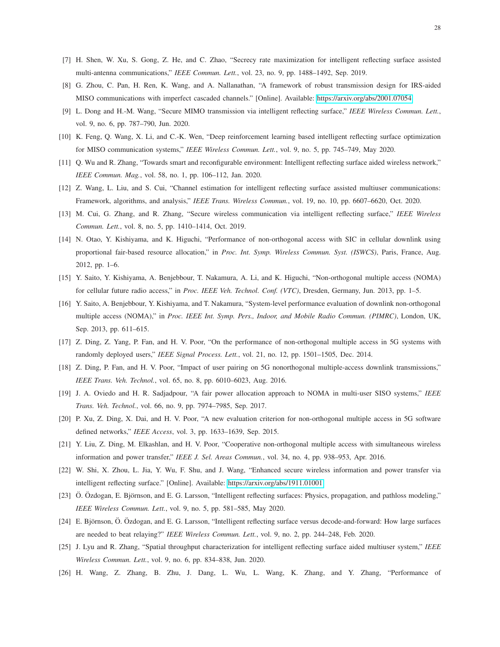- <span id="page-27-1"></span><span id="page-27-0"></span>[7] H. Shen, W. Xu, S. Gong, Z. He, and C. Zhao, "Secrecy rate maximization for intelligent reflecting surface assisted multi-antenna communications," *IEEE Commun. Lett.*, vol. 23, no. 9, pp. 1488–1492, Sep. 2019.
- [8] G. Zhou, C. Pan, H. Ren, K. Wang, and A. Nallanathan, "A framework of robust transmission design for IRS-aided MISO communications with imperfect cascaded channels." [Online]. Available:<https://arxiv.org/abs/2001.07054>
- <span id="page-27-2"></span>[9] L. Dong and H.-M. Wang, "Secure MIMO transmission via intelligent reflecting surface," *IEEE Wireless Commun. Lett.*, vol. 9, no. 6, pp. 787–790, Jun. 2020.
- <span id="page-27-3"></span>[10] K. Feng, Q. Wang, X. Li, and C.-K. Wen, "Deep reinforcement learning based intelligent reflecting surface optimization for MISO communication systems," *IEEE Wireless Commun. Lett.*, vol. 9, no. 5, pp. 745–749, May 2020.
- <span id="page-27-4"></span>[11] Q. Wu and R. Zhang, "Towards smart and reconfigurable environment: Intelligent reflecting surface aided wireless network," *IEEE Commun. Mag.*, vol. 58, no. 1, pp. 106–112, Jan. 2020.
- <span id="page-27-5"></span>[12] Z. Wang, L. Liu, and S. Cui, "Channel estimation for intelligent reflecting surface assisted multiuser communications: Framework, algorithms, and analysis," *IEEE Trans. Wireless Commun.*, vol. 19, no. 10, pp. 6607–6620, Oct. 2020.
- <span id="page-27-6"></span>[13] M. Cui, G. Zhang, and R. Zhang, "Secure wireless communication via intelligent reflecting surface," *IEEE Wireless Commun. Lett.*, vol. 8, no. 5, pp. 1410–1414, Oct. 2019.
- [14] N. Otao, Y. Kishiyama, and K. Higuchi, "Performance of non-orthogonal access with SIC in cellular downlink using proportional fair-based resource allocation," in *Proc. Int. Symp. Wireless Commun. Syst. (ISWCS)*, Paris, France, Aug. 2012, pp. 1–6.
- <span id="page-27-8"></span><span id="page-27-7"></span>[15] Y. Saito, Y. Kishiyama, A. Benjebbour, T. Nakamura, A. Li, and K. Higuchi, "Non-orthogonal multiple access (NOMA) for cellular future radio access," in *Proc. IEEE Veh. Technol. Conf. (VTC)*, Dresden, Germany, Jun. 2013, pp. 1–5.
- [16] Y. Saito, A. Benjebbour, Y. Kishiyama, and T. Nakamura, "System-level performance evaluation of downlink non-orthogonal multiple access (NOMA)," in *Proc. IEEE Int. Symp. Pers., Indoor, and Mobile Radio Commun. (PIMRC)*, London, UK, Sep. 2013, pp. 611–615.
- <span id="page-27-10"></span><span id="page-27-9"></span>[17] Z. Ding, Z. Yang, P. Fan, and H. V. Poor, "On the performance of non-orthogonal multiple access in 5G systems with randomly deployed users," *IEEE Signal Process. Lett.*, vol. 21, no. 12, pp. 1501–1505, Dec. 2014.
- <span id="page-27-11"></span>[18] Z. Ding, P. Fan, and H. V. Poor, "Impact of user pairing on 5G nonorthogonal multiple-access downlink transmissions," *IEEE Trans. Veh. Technol.*, vol. 65, no. 8, pp. 6010–6023, Aug. 2016.
- <span id="page-27-12"></span>[19] J. A. Oviedo and H. R. Sadjadpour, "A fair power allocation approach to NOMA in multi-user SISO systems," *IEEE Trans. Veh. Technol.*, vol. 66, no. 9, pp. 7974–7985, Sep. 2017.
- <span id="page-27-13"></span>[20] P. Xu, Z. Ding, X. Dai, and H. V. Poor, "A new evaluation criterion for non-orthogonal multiple access in 5G software defined networks," *IEEE Access*, vol. 3, pp. 1633–1639, Sep. 2015.
- <span id="page-27-14"></span>[21] Y. Liu, Z. Ding, M. Elkashlan, and H. V. Poor, "Cooperative non-orthogonal multiple access with simultaneous wireless information and power transfer," *IEEE J. Sel. Areas Commun.*, vol. 34, no. 4, pp. 938–953, Apr. 2016.
- <span id="page-27-15"></span>[22] W. Shi, X. Zhou, L. Jia, Y. Wu, F. Shu, and J. Wang, "Enhanced secure wireless information and power transfer via intelligent reflecting surface." [Online]. Available:<https://arxiv.org/abs/1911.01001>
- <span id="page-27-16"></span>[23] Ö. Özdogan, E. Björnson, and E. G. Larsson, "Intelligent reflecting surfaces: Physics, propagation, and pathloss modeling," *IEEE Wireless Commun. Lett.*, vol. 9, no. 5, pp. 581–585, May 2020.
- <span id="page-27-17"></span>[24] E. Björnson, Ö. Özdogan, and E. G. Larsson, "Intelligent reflecting surface versus decode-and-forward: How large surfaces are needed to beat relaying?" *IEEE Wireless Commun. Lett.*, vol. 9, no. 2, pp. 244–248, Feb. 2020.
- <span id="page-27-18"></span>[25] J. Lyu and R. Zhang, "Spatial throughput characterization for intelligent reflecting surface aided multiuser system," *IEEE Wireless Commun. Lett.*, vol. 9, no. 6, pp. 834–838, Jun. 2020.
- [26] H. Wang, Z. Zhang, B. Zhu, J. Dang, L. Wu, L. Wang, K. Zhang, and Y. Zhang, "Performance of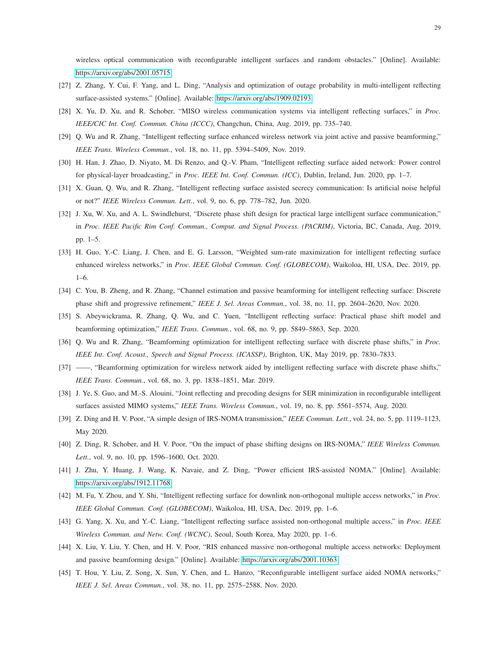wireless optical communication with reconfigurable intelligent surfaces and random obstacles." [Online]. Available: <https://arxiv.org/abs/2001.05715>

- <span id="page-28-1"></span><span id="page-28-0"></span>[27] Z. Zhang, Y. Cui, F. Yang, and L. Ding, "Analysis and optimization of outage probability in multi-intelligent reflecting surface-assisted systems." [Online]. Available:<https://arxiv.org/abs/1909.02193>
- <span id="page-28-2"></span>[28] X. Yu, D. Xu, and R. Schober, "MISO wireless communication systems via intelligent reflecting surfaces," in *Proc. IEEE/CIC Int. Conf. Commun. China (ICCC)*, Changchun, China, Aug. 2019, pp. 735–740.
- <span id="page-28-3"></span>[29] Q. Wu and R. Zhang, "Intelligent reflecting surface enhanced wireless network via joint active and passive beamforming," *IEEE Trans. Wireless Commun.*, vol. 18, no. 11, pp. 5394–5409, Nov. 2019.
- <span id="page-28-4"></span>[30] H. Han, J. Zhao, D. Niyato, M. Di Renzo, and Q.-V. Pham, "Intelligent reflecting surface aided network: Power control for physical-layer broadcasting," in *Proc. IEEE Int. Conf. Commun. (ICC)*, Dublin, Ireland, Jun. 2020, pp. 1–7.
- <span id="page-28-5"></span>[31] X. Guan, Q. Wu, and R. Zhang, "Intelligent reflecting surface assisted secrecy communication: Is artificial noise helpful or not?" *IEEE Wireless Commun. Lett.*, vol. 9, no. 6, pp. 778–782, Jun. 2020.
- [32] J. Xu, W. Xu, and A. L. Swindlehurst, "Discrete phase shift design for practical large intelligent surface communication," in *Proc. IEEE Pacific Rim Conf. Commun., Comput. and Signal Process. (PACRIM)*, Victoria, BC, Canada, Aug. 2019, pp. 1–5.
- <span id="page-28-6"></span>[33] H. Guo, Y.-C. Liang, J. Chen, and E. G. Larsson, "Weighted sum-rate maximization for intelligent reflecting surface enhanced wireless networks," in *Proc. IEEE Global Commun. Conf. (GLOBECOM)*, Waikoloa, HI, USA, Dec. 2019, pp. 1–6.
- <span id="page-28-8"></span><span id="page-28-7"></span>[34] C. You, B. Zheng, and R. Zhang, "Channel estimation and passive beamforming for intelligent reflecting surface: Discrete phase shift and progressive refinement," *IEEE J. Sel. Areas Commun.*, vol. 38, no. 11, pp. 2604–2620, Nov. 2020.
- <span id="page-28-9"></span>[35] S. Abeywickrama, R. Zhang, Q. Wu, and C. Yuen, "Intelligent reflecting surface: Practical phase shift model and beamforming optimization," *IEEE Trans. Commun.*, vol. 68, no. 9, pp. 5849–5863, Sep. 2020.
- <span id="page-28-10"></span>[36] Q. Wu and R. Zhang, "Beamforming optimization for intelligent reflecting surface with discrete phase shifts," in *Proc. IEEE Int. Conf. Acoust., Speech and Signal Process. (ICASSP)*, Brighton, UK, May 2019, pp. 7830–7833.
- <span id="page-28-11"></span>[37] ——, "Beamforming optimization for wireless network aided by intelligent reflecting surface with discrete phase shifts," *IEEE Trans. Commun.*, vol. 68, no. 3, pp. 1838–1851, Mar. 2019.
- <span id="page-28-12"></span>[38] J. Ye, S. Guo, and M.-S. Alouini, "Joint reflecting and precoding designs for SER minimization in reconfigurable intelligent surfaces assisted MIMO systems," *IEEE Trans. Wireless Commun.*, vol. 19, no. 8, pp. 5561–5574, Aug. 2020.
- <span id="page-28-13"></span>[39] Z. Ding and H. V. Poor, "A simple design of IRS-NOMA transmission," *IEEE Commun. Lett.*, vol. 24, no. 5, pp. 1119–1123, May 2020.
- <span id="page-28-14"></span>[40] Z. Ding, R. Schober, and H. V. Poor, "On the impact of phase shifting designs on IRS-NOMA," *IEEE Wireless Commun. Lett.*, vol. 9, no. 10, pp. 1596–1600, Oct. 2020.
- <span id="page-28-15"></span>[41] J. Zhu, Y. Huang, J. Wang, K. Navaie, and Z. Ding, "Power efficient IRS-assisted NOMA." [Online]. Available: <https://arxiv.org/abs/1912.11768>
- <span id="page-28-16"></span>[42] M. Fu, Y. Zhou, and Y. Shi, "Intelligent reflecting surface for downlink non-orthogonal multiple access networks," in *Proc. IEEE Global Commun. Conf. (GLOBECOM)*, Waikoloa, HI, USA, Dec. 2019, pp. 1–6.
- <span id="page-28-18"></span>[43] G. Yang, X. Xu, and Y.-C. Liang, "Intelligent reflecting surface assisted non-orthogonal multiple access," in *Proc. IEEE Wireless Commun. and Netw. Conf. (WCNC)*, Seoul, South Korea, May 2020, pp. 1–6.
- <span id="page-28-17"></span>[44] X. Liu, Y. Liu, Y. Chen, and H. V. Poor, "RIS enhanced massive non-orthogonal multiple access networks: Deployment and passive beamforming design." [Online]. Available:<https://arxiv.org/abs/2001.10363>
- [45] T. Hou, Y. Liu, Z. Song, X. Sun, Y. Chen, and L. Hanzo, "Reconfigurable intelligent surface aided NOMA networks," *IEEE J. Sel. Areas Commun.*, vol. 38, no. 11, pp. 2575–2588, Nov. 2020.